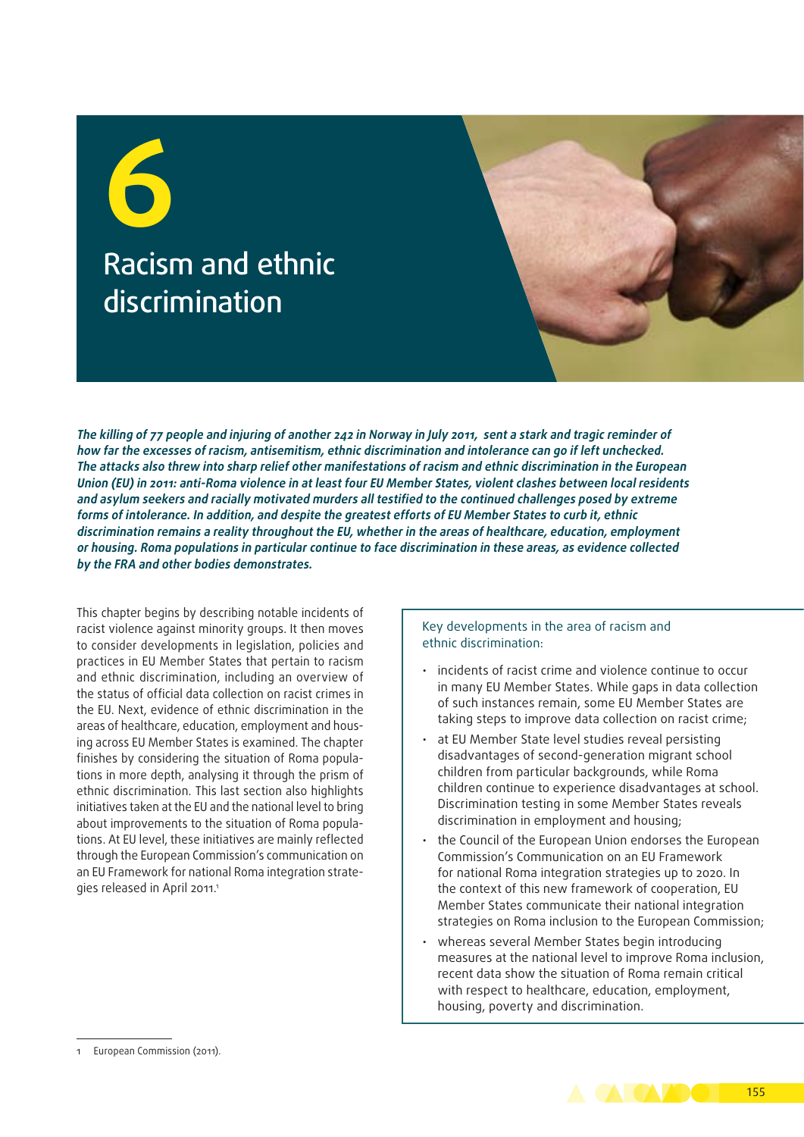**6** Racism and ethnic discrimination

**The killing of 77 people and injuring of another 242 in Norway in July 2011, sent a stark and tragic reminder of how far the excesses of racism, antisemitism, ethnic discrimination and intolerance can go if left unchecked. The attacks also threw into sharp relief other manifestations of racism and ethnic discrimination in the European Union (EU) in 2011: anti‑Roma violence in at least four EU Member States, violent clashes between local residents and asylum seekers and racially motivated murders all testified to the continued challenges posed by extreme forms of intolerance. In addition, and despite the greatest efforts of EU Member States to curb it, ethnic discrimination remains a reality throughout the EU, whether in the areas of healthcare, education, employment or housing. Roma populations in particular continue to face discrimination in these areas, as evidence collected by the FRA and other bodies demonstrates.**

This chapter begins by describing notable incidents of racist violence against minority groups. It then moves to consider developments in legislation, policies and practices in EU Member States that pertain to racism and ethnic discrimination, including an overview of the status of official data collection on racist crimes in the EU. Next, evidence of ethnic discrimination in the areas of healthcare, education, employment and housing across EU Member States is examined. The chapter finishes by considering the situation of Roma populations in more depth, analysing it through the prism of ethnic discrimination. This last section also highlights initiatives taken at the EU and the national level to bring about improvements to the situation of Roma populations. At EU level, these initiatives are mainly reflected through the European Commission's communication on an EU Framework for national Roma integration strategies released in April 2011.<sup>1</sup>

#### Key developments in the area of racism and ethnic discrimination:

- incidents of racist crime and violence continue to occur in many EU Member States. While gaps in data collection of such instances remain, some EU Member States are taking steps to improve data collection on racist crime;
- at EU Member State level studies reveal persisting disadvantages of second‑generation migrant school children from particular backgrounds, while Roma children continue to experience disadvantages at school. Discrimination testing in some Member States reveals discrimination in employment and housing;
- the Council of the European Union endorses the European Commission's Communication on an EU Framework for national Roma integration strategies up to 2020. In the context of this new framework of cooperation, EU Member States communicate their national integration strategies on Roma inclusion to the European Commission;
- whereas several Member States begin introducing measures at the national level to improve Roma inclusion, recent data show the situation of Roma remain critical with respect to healthcare, education, employment, housing, poverty and discrimination.

155

<sup>1</sup> European Commission (2011).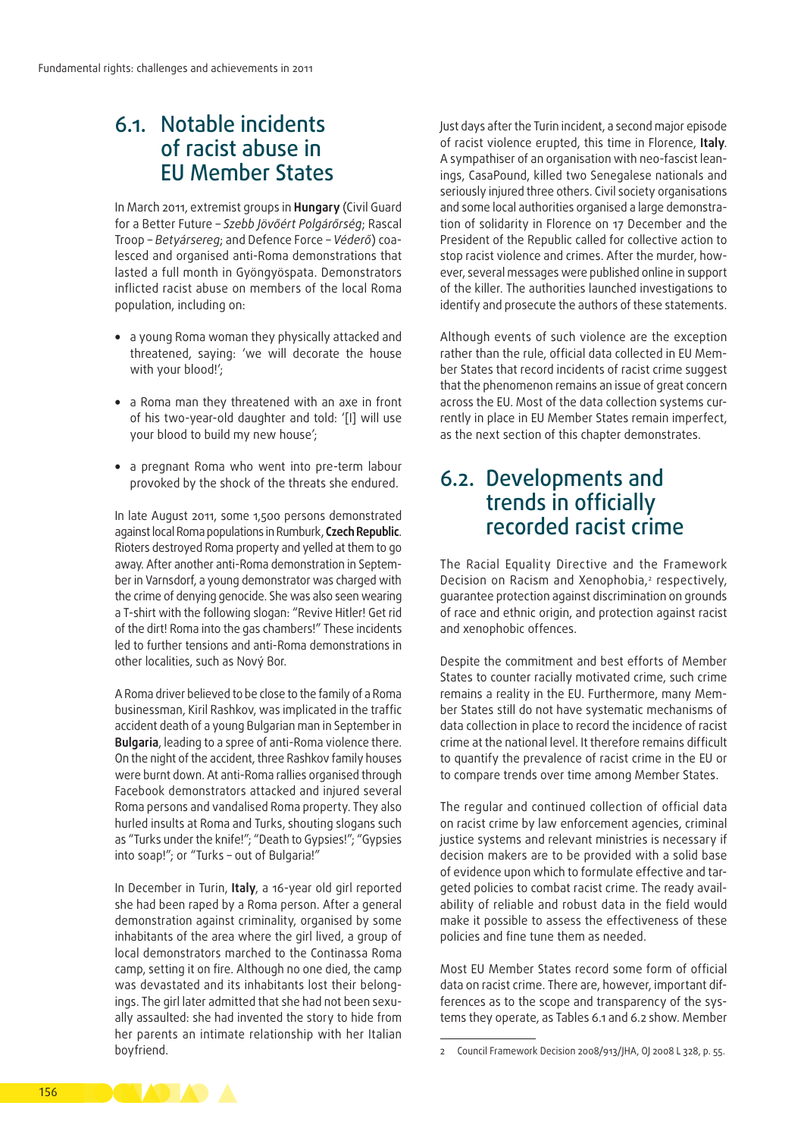## 6.1. Notable incidents of racist abuse in EU Member States

In March 2011, extremist groups in **Hungary** (Civil Guard for a Better Future – *Szebb Jövőért Polgárőrség*; Rascal Troop – *Betyársereg*; and Defence Force – *Véderő*) coa‑ lesced and organised anti‑Roma demonstrations that lasted a full month in Gyöngyöspata. Demonstrators inflicted racist abuse on members of the local Roma population, including on:

- a young Roma woman they physically attacked and threatened, saying: 'we will decorate the house with your blood!';
- a Roma man they threatened with an axe in front of his two‑year‑old daughter and told: '[I] will use your blood to build my new house';
- a pregnant Roma who went into pre-term labour provoked by the shock of the threats she endured.

In late August 2011, some 1,500 persons demonstrated against local Roma populations in Rumburk, **Czech Republic**. Rioters destroyed Roma property and yelled at them to go away. After another anti-Roma demonstration in September in Varnsdorf, a young demonstrator was charged with the crime of denying genocide. She was also seen wearing a T‑shirt with the following slogan: "Revive Hitler! Get rid of the dirt! Roma into the gas chambers!" These incidents led to further tensions and anti‑Roma demonstrations in other localities, such as Nový Bor.

A Roma driver believed to be close to the family of a Roma businessman, Kiril Rashkov, was implicated in the traffic accident death of a young Bulgarian man in September in **Bulgaria**, leading to a spree of anti‑Roma violence there. On the night of the accident, three Rashkov family houses were burnt down. At anti‑Roma rallies organised through Facebook demonstrators attacked and injured several Roma persons and vandalised Roma property. They also hurled insults at Roma and Turks, shouting slogans such as "Turks under the knife!"; "Death to Gypsies!"; "Gypsies into soap!"; or "Turks – out of Bulgaria!"

In December in Turin, **Italy**, a 16-year old girl reported she had been raped by a Roma person. After a general demonstration against criminality, organised by some inhabitants of the area where the girl lived, a group of local demonstrators marched to the Continassa Roma camp, setting it on fire. Although no one died, the camp was devastated and its inhabitants lost their belongings. The girl later admitted that she had not been sexually assaulted: she had invented the story to hide from her parents an intimate relationship with her Italian boyfriend.

Just days after the Turin incident, a second major episode of racist violence erupted, this time in Florence, **Italy**. A sympathiser of an organisation with neo-fascist leanings, CasaPound, killed two Senegalese nationals and seriously injured three others. Civil society organisations and some local authorities organised a large demonstration of solidarity in Florence on 17 December and the President of the Republic called for collective action to stop racist violence and crimes. After the murder, however, several messages were published online in support of the killer. The authorities launched investigations to identify and prosecute the authors of these statements.

Although events of such violence are the exception rather than the rule, official data collected in EU Member States that record incidents of racist crime suggest that the phenomenon remains an issue of great concern across the EU. Most of the data collection systems currently in place in EU Member States remain imperfect, as the next section of this chapter demonstrates.

## 6.2. Developments and trends in officially recorded racist crime

The Racial Equality Directive and the Framework Decision on Racism and Xenophobia,<sup>2</sup> respectively, guarantee protection against discrimination on grounds of race and ethnic origin, and protection against racist and xenophobic offences.

Despite the commitment and best efforts of Member States to counter racially motivated crime, such crime remains a reality in the EU. Furthermore, many Member States still do not have systematic mechanisms of data collection in place to record the incidence of racist crime at the national level. It therefore remains difficult to quantify the prevalence of racist crime in the EU or to compare trends over time among Member States.

The regular and continued collection of official data on racist crime by law enforcement agencies, criminal justice systems and relevant ministries is necessary if decision makers are to be provided with a solid base of evidence upon which to formulate effective and targeted policies to combat racist crime. The ready availability of reliable and robust data in the field would make it possible to assess the effectiveness of these policies and fine tune them as needed.

Most EU Member States record some form of official data on racist crime. There are, however, important differences as to the scope and transparency of the systems they operate, as Tables 6.1 and 6.2 show. Member



<sup>2</sup> Council Framework Decision 2008/913/JHA, OJ 2008 L 328, p. 55.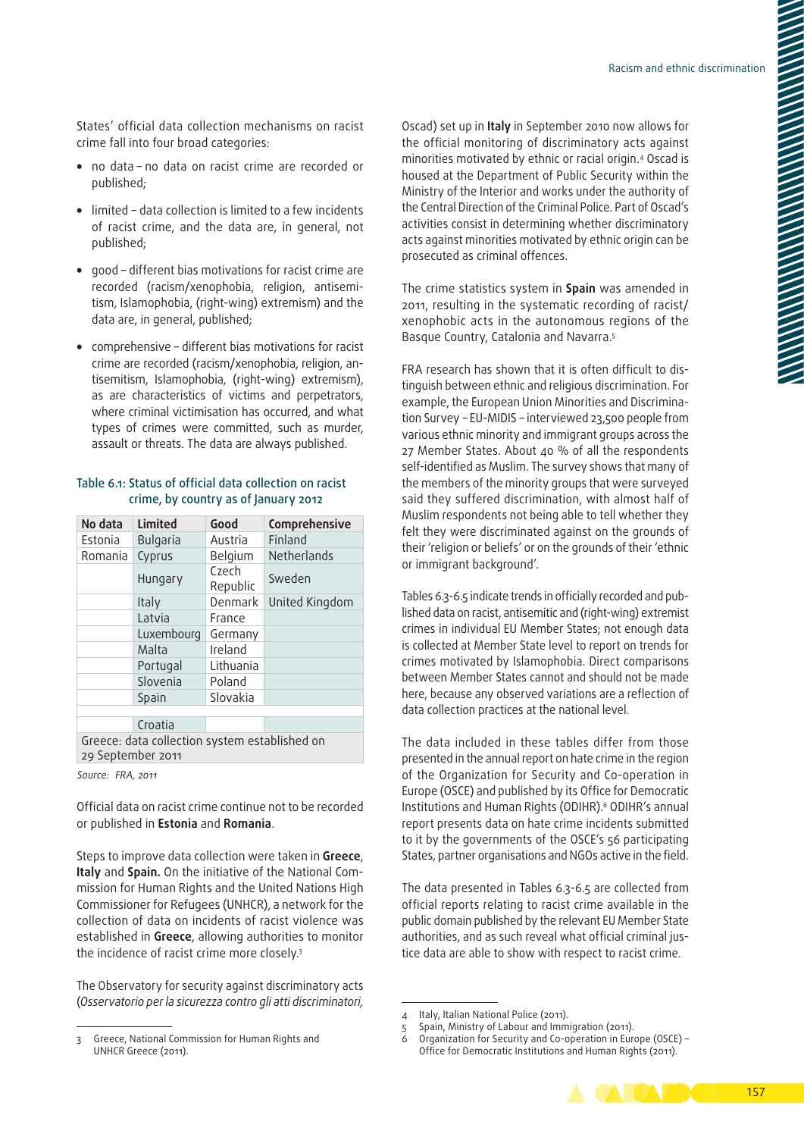States' official data collection mechanisms on racist crime fall into four broad categories:

- no data no data on racist crime are recorded or published;
- limited data collection is limited to a few incidents of racist crime, and the data are, in general, not published;
- good different bias motivations for racist crime are recorded (racism/xenophobia, religion, antisemitism, Islamophobia, (right-wing) extremism) and the data are, in general, published;
- comprehensive different bias motivations for racist crime are recorded (racism/xenophobia, religion, antisemitism, Islamophobia, (right-wing) extremism), as are characteristics of victims and perpetrators, where criminal victimisation has occurred, and what types of crimes were committed, such as murder, assault or threats. The data are always published.

#### Table 6.1: Status of official data collection on racist crime, by country as of January 2012

| No data                                                            | <b>Limited</b>  | Good              | Comprehensive  |  |  |  |  |  |
|--------------------------------------------------------------------|-----------------|-------------------|----------------|--|--|--|--|--|
| Estonia                                                            | <b>Bulgaria</b> | Austria           | Finland        |  |  |  |  |  |
| Romania                                                            | Cyprus          | Belgium           | Netherlands    |  |  |  |  |  |
|                                                                    | Hungary         | Czech<br>Republic | Sweden         |  |  |  |  |  |
|                                                                    | Italy           | Denmark           | United Kingdom |  |  |  |  |  |
|                                                                    | Latvia          | France            |                |  |  |  |  |  |
|                                                                    | Luxembourg      | Germany           |                |  |  |  |  |  |
|                                                                    | Malta           | Ireland           |                |  |  |  |  |  |
|                                                                    | Portugal        | Lithuania         |                |  |  |  |  |  |
|                                                                    | Slovenia        | Poland            |                |  |  |  |  |  |
|                                                                    | Spain           | Slovakia          |                |  |  |  |  |  |
|                                                                    |                 |                   |                |  |  |  |  |  |
|                                                                    | Croatia         |                   |                |  |  |  |  |  |
| Greece: data collection system established on<br>29 September 2011 |                 |                   |                |  |  |  |  |  |

*Source: FRA, 2011*

Official data on racist crime continue not to be recorded or published in **Estonia** and **Romania**.

Steps to improve data collection were taken in **Greece**, **Italy** and **Spain.** On the initiative of the National Com‑ mission for Human Rights and the United Nations High Commissioner for Refugees (UNHCR), a network for the collection of data on incidents of racist violence was established in **Greece**, allowing authorities to monitor the incidence of racist crime more closely.3

The Observatory for security against discriminatory acts (*Osservatorio per la sicurezza contro gli atti discriminatori,*  Oscad) set up in **Italy** in September 2010 now allows for the official monitoring of discriminatory acts against minorities motivated by ethnic or racial origin.4 Oscad is housed at the Department of Public Security within the Ministry of the Interior and works under the authority of the Central Direction of the Criminal Police. Part of Oscad's activities consist in determining whether discriminatory acts against minorities motivated by ethnic origin can be prosecuted as criminal offences.

The crime statistics system in **Spain** was amended in 2011, resulting in the systematic recording of racist/ xenophobic acts in the autonomous regions of the Basque Country, Catalonia and Navarra.5

FRA research has shown that it is often difficult to distinguish between ethnic and religious discrimination. For example, the European Union Minorities and Discrimination Survey – EU‑MIDIS – interviewed 23,500 people from various ethnic minority and immigrant groups across the 27 Member States. About 40 % of all the respondents self-identified as Muslim. The survey shows that many of the members of the minority groups that were surveyed said they suffered discrimination, with almost half of Muslim respondents not being able to tell whether they felt they were discriminated against on the grounds of their 'religion or beliefs' or on the grounds of their 'ethnic or immigrant background'.

Tables 6.3-6.5 indicate trends in officially recorded and published data on racist, antisemitic and (right-wing) extremist crimes in individual EU Member States; not enough data is collected at Member State level to report on trends for crimes motivated by Islamophobia. Direct comparisons between Member States cannot and should not be made here, because any observed variations are a reflection of data collection practices at the national level.

The data included in these tables differ from those presented in the annual report on hate crime in the region of the Organization for Security and Co‑operation in Europe (OSCE) and published by its Office for Democratic Institutions and Human Rights (ODIHR).6 ODIHR's annual report presents data on hate crime incidents submitted to it by the governments of the OSCE's 56 participating States, partner organisations and NGOs active in the field.

The data presented in Tables 6.3-6.5 are collected from official reports relating to racist crime available in the public domain published by the relevant EU Member State authorities, and as such reveal what official criminal justice data are able to show with respect to racist crime.

<sup>6</sup> Organization for Security and Co‑operation in Europe (OSCE) – Office for Democratic Institutions and Human Rights (2011).



<sup>3</sup> Greece, National Commission for Human Rights and UNHCR Greece (2011).

<sup>4</sup> Italy, Italian National Police (2011).

<sup>5</sup> Spain, Ministry of Labour and Immigration (2011).<br>6 Occanization for Security and Co-operation in Fur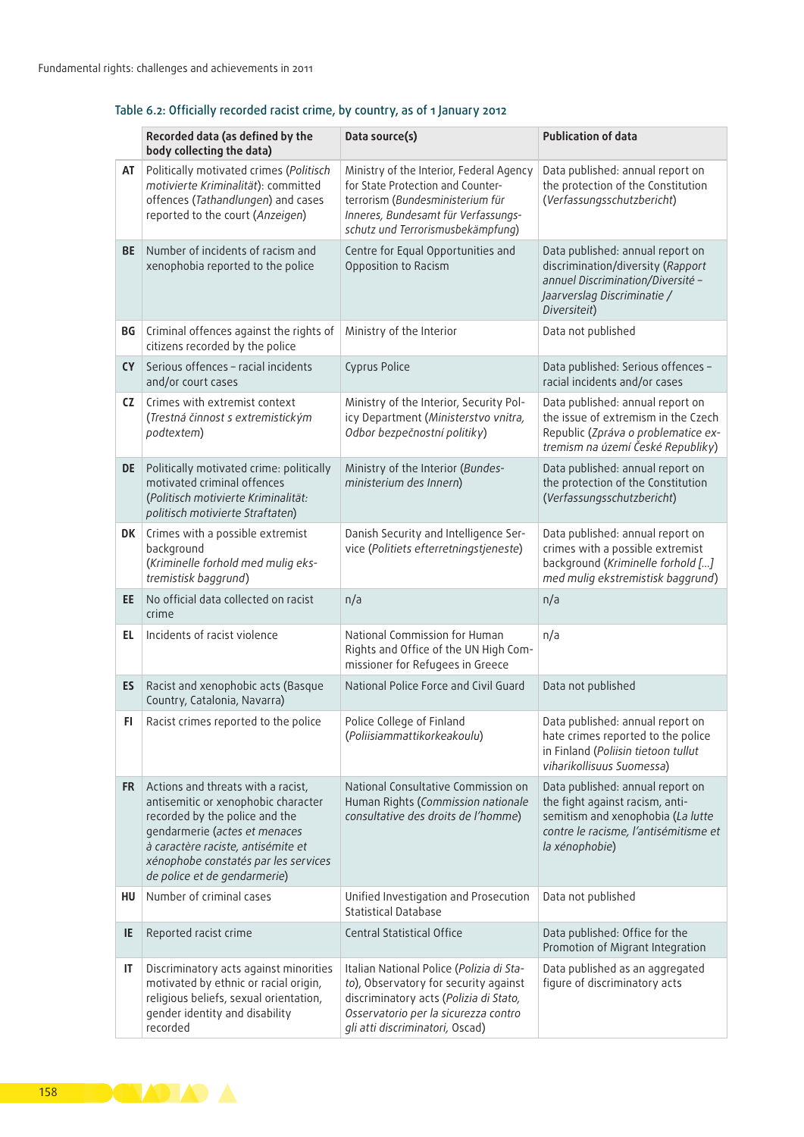## Table 6.2: Officially recorded racist crime, by country, as of 1 January 2012

|           | Recorded data (as defined by the<br>body collecting the data)                                                                                                                                                                                              | Data source(s)                                                                                                                                                                                         | <b>Publication of data</b>                                                                                                                                          |
|-----------|------------------------------------------------------------------------------------------------------------------------------------------------------------------------------------------------------------------------------------------------------------|--------------------------------------------------------------------------------------------------------------------------------------------------------------------------------------------------------|---------------------------------------------------------------------------------------------------------------------------------------------------------------------|
| AT        | Politically motivated crimes (Politisch<br>motivierte Kriminalität): committed<br>offences (Tathandlungen) and cases<br>reported to the court (Anzeigen)                                                                                                   | Ministry of the Interior, Federal Agency<br>for State Protection and Counter-<br>terrorism (Bundesministerium für<br>Inneres, Bundesamt für Verfassungs-<br>schutz und Terrorismusbekämpfung)          | Data published: annual report on<br>the protection of the Constitution<br>(Verfassungsschutzbericht)                                                                |
| <b>BE</b> | Number of incidents of racism and<br>xenophobia reported to the police                                                                                                                                                                                     | Centre for Equal Opportunities and<br>Opposition to Racism                                                                                                                                             | Data published: annual report on<br>discrimination/diversity (Rapport<br>annuel Discrimination/Diversité -<br>Jaarverslag Discriminatie /<br>Diversiteit)           |
| BG        | Criminal offences against the rights of<br>citizens recorded by the police                                                                                                                                                                                 | Ministry of the Interior                                                                                                                                                                               | Data not published                                                                                                                                                  |
| <b>CY</b> | Serious offences - racial incidents<br>and/or court cases                                                                                                                                                                                                  | Cyprus Police                                                                                                                                                                                          | Data published: Serious offences -<br>racial incidents and/or cases                                                                                                 |
| CZ.       | Crimes with extremist context<br>(Trestná činnost s extremistickým<br>podtextem)                                                                                                                                                                           | Ministry of the Interior, Security Pol-<br>icy Department (Ministerstvo vnitra,<br>Odbor bezpečnostní politiky)                                                                                        | Data published: annual report on<br>the issue of extremism in the Czech<br>Republic (Zpráva o problematice ex-<br>tremism na území České Republiky)                 |
| DE        | Politically motivated crime: politically<br>motivated criminal offences<br>(Politisch motivierte Kriminalität:<br>politisch motivierte Straftaten)                                                                                                         | Ministry of the Interior (Bundes-<br>ministerium des Innern)                                                                                                                                           | Data published: annual report on<br>the protection of the Constitution<br>(Verfassungsschutzbericht)                                                                |
| DK        | Crimes with a possible extremist<br>background<br>(Kriminelle forhold med mulig eks-<br>tremistisk baggrund)                                                                                                                                               | Danish Security and Intelligence Ser-<br>vice (Politiets efterretningstjeneste)                                                                                                                        | Data published: annual report on<br>crimes with a possible extremist<br>background (Kriminelle forhold []<br>med mulig ekstremistisk baggrund)                      |
| EE.       | No official data collected on racist<br>crime                                                                                                                                                                                                              | n/a                                                                                                                                                                                                    | n/a                                                                                                                                                                 |
| EL.       | Incidents of racist violence                                                                                                                                                                                                                               | National Commission for Human<br>Rights and Office of the UN High Com-<br>missioner for Refugees in Greece                                                                                             | n/a                                                                                                                                                                 |
| ES        | Racist and xenophobic acts (Basque<br>Country, Catalonia, Navarra)                                                                                                                                                                                         | National Police Force and Civil Guard                                                                                                                                                                  | Data not published                                                                                                                                                  |
| FI        | Racist crimes reported to the police                                                                                                                                                                                                                       | Police College of Finland<br>(Poliisiammattikorkeakoulu)                                                                                                                                               | Data published: annual report on<br>hate crimes reported to the police<br>in Finland (Poliisin tietoon tullut<br>viharikollisuus Suomessa)                          |
| <b>FR</b> | Actions and threats with a racist,<br>antisemitic or xenophobic character<br>recorded by the police and the<br>gendarmerie (actes et menaces<br>à caractère raciste, antisémite et<br>xénophobe constatés par les services<br>de police et de gendarmerie) | National Consultative Commission on<br>Human Rights (Commission nationale<br>consultative des droits de l'homme)                                                                                       | Data published: annual report on<br>the fight against racism, anti-<br>semitism and xenophobia (La lutte<br>contre le racisme, l'antisémitisme et<br>la xénophobie) |
| HU        | Number of criminal cases                                                                                                                                                                                                                                   | Unified Investigation and Prosecution<br><b>Statistical Database</b>                                                                                                                                   | Data not published                                                                                                                                                  |
| IE        | Reported racist crime                                                                                                                                                                                                                                      | <b>Central Statistical Office</b>                                                                                                                                                                      | Data published: Office for the<br>Promotion of Migrant Integration                                                                                                  |
| IT        | Discriminatory acts against minorities<br>motivated by ethnic or racial origin,<br>religious beliefs, sexual orientation,<br>gender identity and disability<br>recorded                                                                                    | Italian National Police (Polizia di Sta-<br>to), Observatory for security against<br>discriminatory acts (Polizia di Stato,<br>Osservatorio per la sicurezza contro<br>gli atti discriminatori, Oscad) | Data published as an aggregated<br>figure of discriminatory acts                                                                                                    |

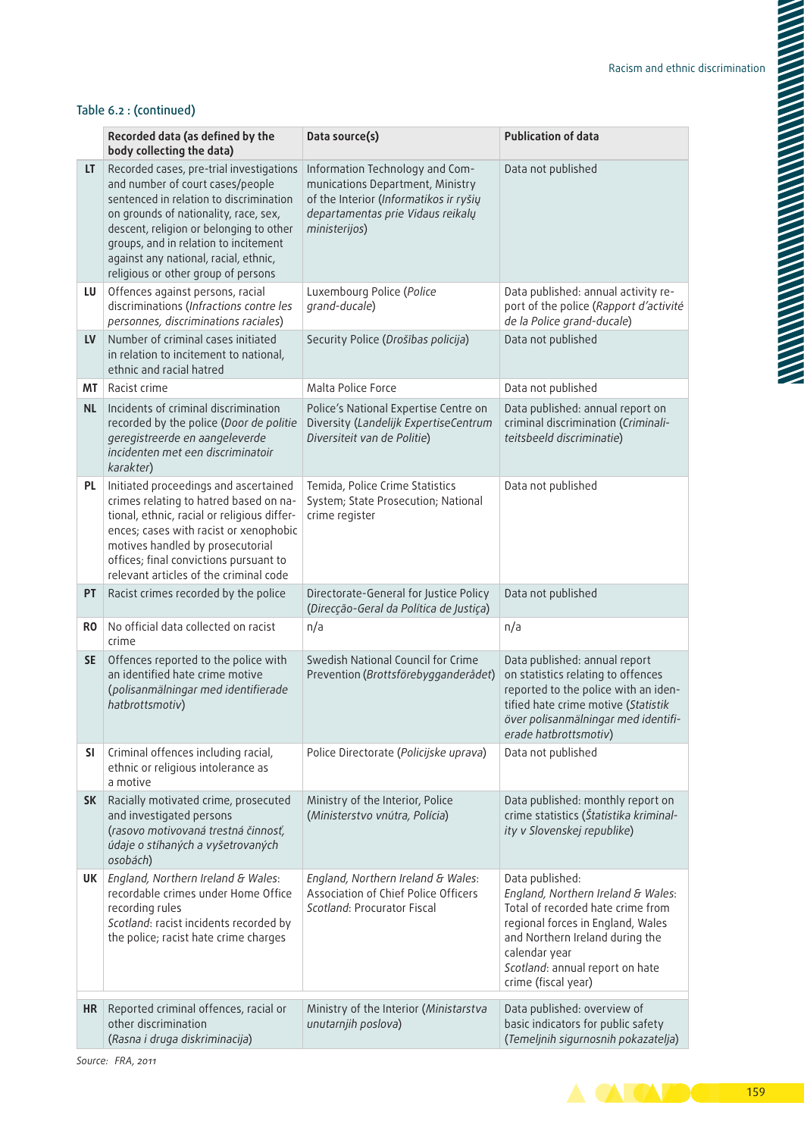### Table 6.2 : (continued)

|           | Recorded data (as defined by the<br>body collecting the data)                                                                                                                                                                                                                                                                        | Data source(s)                                                                                                                                                      | <b>Publication of data</b>                                                                                                                                                                                                                    |
|-----------|--------------------------------------------------------------------------------------------------------------------------------------------------------------------------------------------------------------------------------------------------------------------------------------------------------------------------------------|---------------------------------------------------------------------------------------------------------------------------------------------------------------------|-----------------------------------------------------------------------------------------------------------------------------------------------------------------------------------------------------------------------------------------------|
| LT.       | Recorded cases, pre-trial investigations<br>and number of court cases/people<br>sentenced in relation to discrimination<br>on grounds of nationality, race, sex,<br>descent, religion or belonging to other<br>groups, and in relation to incitement<br>against any national, racial, ethnic,<br>religious or other group of persons | Information Technology and Com-<br>munications Department, Ministry<br>of the Interior (Informatikos ir ryšių<br>departamentas prie Vidaus reikalų<br>ministerijos) | Data not published                                                                                                                                                                                                                            |
| LU        | Offences against persons, racial<br>discriminations (Infractions contre les<br>personnes, discriminations raciales)                                                                                                                                                                                                                  | Luxembourg Police (Police<br>grand-ducale)                                                                                                                          | Data published: annual activity re-<br>port of the police (Rapport d'activité<br>de la Police grand-ducale)                                                                                                                                   |
| LV        | Number of criminal cases initiated<br>in relation to incitement to national,<br>ethnic and racial hatred                                                                                                                                                                                                                             | Security Police (Drošības policija)                                                                                                                                 | Data not published                                                                                                                                                                                                                            |
| MΤ        | Racist crime                                                                                                                                                                                                                                                                                                                         | Malta Police Force                                                                                                                                                  | Data not published                                                                                                                                                                                                                            |
| <b>NL</b> | Incidents of criminal discrimination<br>recorded by the police (Door de politie<br>geregistreerde en aangeleverde<br>incidenten met een discriminatoir<br>karakter)                                                                                                                                                                  | Police's National Expertise Centre on<br>Diversity (Landelijk ExpertiseCentrum<br>Diversiteit van de Politie)                                                       | Data published: annual report on<br>criminal discrimination (Criminali-<br>teitsbeeld discriminatie)                                                                                                                                          |
| PL.       | Initiated proceedings and ascertained<br>crimes relating to hatred based on na-<br>tional, ethnic, racial or religious differ-<br>ences; cases with racist or xenophobic<br>motives handled by prosecutorial<br>offices; final convictions pursuant to<br>relevant articles of the criminal code                                     | Temida, Police Crime Statistics<br>System; State Prosecution; National<br>crime register                                                                            | Data not published                                                                                                                                                                                                                            |
| PT        | Racist crimes recorded by the police                                                                                                                                                                                                                                                                                                 | Directorate-General for Justice Policy<br>(Direcção-Geral da Política de Justiça)                                                                                   | Data not published                                                                                                                                                                                                                            |
| RO.       | No official data collected on racist<br>crime                                                                                                                                                                                                                                                                                        | n/a                                                                                                                                                                 | n/a                                                                                                                                                                                                                                           |
| <b>SE</b> | Offences reported to the police with<br>an identified hate crime motive<br>(polisanmälningar med identifierade<br>hatbrottsmotiv)                                                                                                                                                                                                    | Swedish National Council for Crime<br>Prevention (Brottsförebygganderådet)                                                                                          | Data published: annual report<br>on statistics relating to offences<br>reported to the police with an iden-<br>tified hate crime motive (Statistik<br>över polisanmälningar med identifi-<br>erade hatbrottsmotiv)                            |
| SI        | Criminal offences including racial,<br>ethnic or religious intolerance as<br>a motive                                                                                                                                                                                                                                                | Police Directorate (Policijske uprava)                                                                                                                              | Data not published                                                                                                                                                                                                                            |
| <b>SK</b> | Racially motivated crime, prosecuted<br>and investigated persons<br>(rasovo motivovaná trestná činnosť,<br>údaje o stíhaných a vyšetrovaných<br>osobách)                                                                                                                                                                             | Ministry of the Interior, Police<br>(Ministerstvo vnútra, Polícia)                                                                                                  | Data published: monthly report on<br>crime statistics (Štatistika kriminal-<br>ity v Slovenskej republike)                                                                                                                                    |
| UK        | England, Northern Ireland & Wales:<br>recordable crimes under Home Office<br>recording rules<br>Scotland: racist incidents recorded by<br>the police; racist hate crime charges                                                                                                                                                      | England, Northern Ireland & Wales:<br>Association of Chief Police Officers<br>Scotland: Procurator Fiscal                                                           | Data published:<br>England, Northern Ireland & Wales:<br>Total of recorded hate crime from<br>regional forces in England, Wales<br>and Northern Ireland during the<br>calendar year<br>Scotland: annual report on hate<br>crime (fiscal year) |
| HR        | Reported criminal offences, racial or<br>other discrimination<br>(Rasna i druga diskriminacija)                                                                                                                                                                                                                                      | Ministry of the Interior (Ministarstva<br>unutarnjih poslova)                                                                                                       | Data published: overview of<br>basic indicators for public safety<br>(Temeljnih sigurnosnih pokazatelja)                                                                                                                                      |

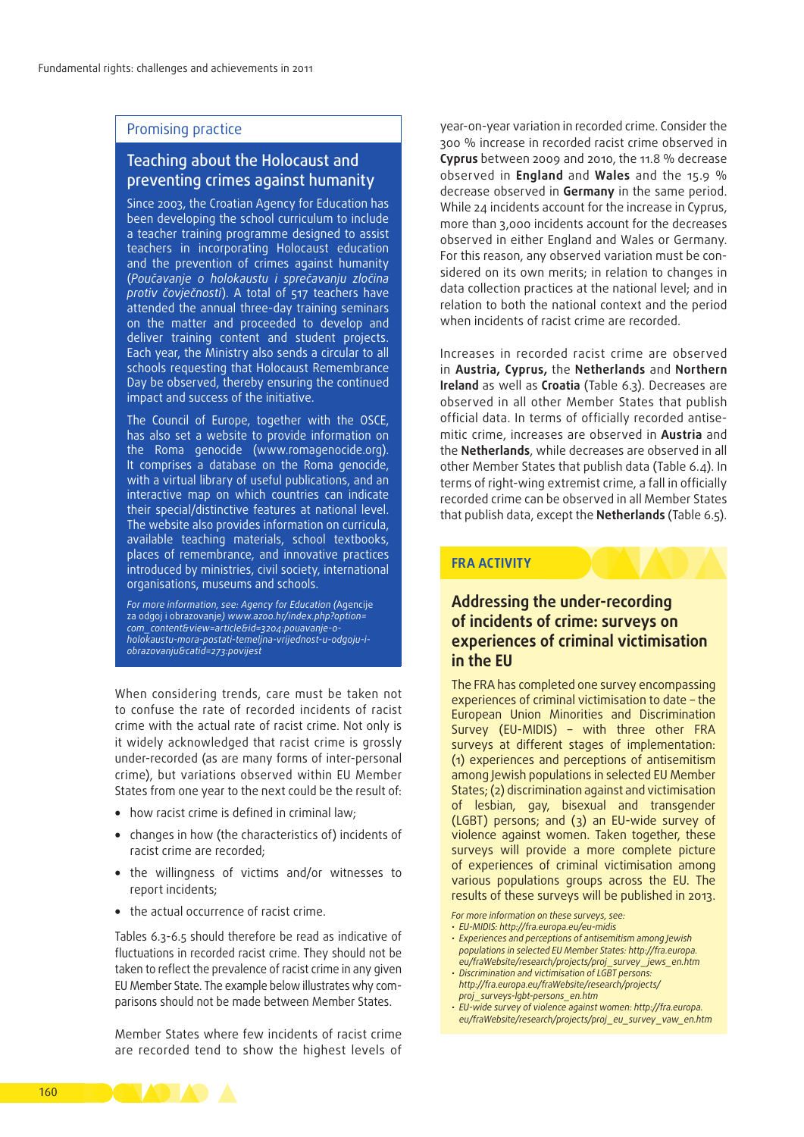### Promising practice

## Teaching about the Holocaust and preventing crimes against humanity

Since 2003, the Croatian Agency for Education has been developing the school curriculum to include a teacher training programme designed to assist teachers in incorporating Holocaust education and the prevention of crimes against humanity (*Poučavanje o holokaustu i sprečavanju zločina protiv čovječnosti*). A total of 517 teachers have attended the annual three-day training seminars on the matter and proceeded to develop and deliver training content and student projects. Each year, the Ministry also sends a circular to all schools requesting that Holocaust Remembrance Day be observed, thereby ensuring the continued impact and success of the initiative.

The Council of Europe, together with the OSCE, has also set a website to provide information on the Roma genocide (www.romagenocide.org). It comprises a database on the Roma genocide, with a virtual library of useful publications, and an interactive map on which countries can indicate their special/distinctive features at national level. The website also provides information on curricula, available teaching materials, school textbooks, places of remembrance, and innovative practices introduced by ministries, civil society, international organisations, museums and schools.

*For more information, see: Agency for Education (*Agencije za odgoj i obrazovanje*) [www.azoo.hr/index.php?option=](http://www.azoo.hr/index.php?option=com_content&view=article&id=3204:pouavanje-o-holokaustu-mora-postati-temeljna-vrijednost-u-odgoju-i-obrazovanju&catid=273:povijest) [com\\_content&view=article&id=3204:pouavanje-o](http://www.azoo.hr/index.php?option=com_content&view=article&id=3204:pouavanje-o-holokaustu-mora-postati-temeljna-vrijednost-u-odgoju-i-obrazovanju&catid=273:povijest)[holokaustu-mora-postati-temeljna-vrijednost-u-odgoju-i](http://www.azoo.hr/index.php?option=com_content&view=article&id=3204:pouavanje-o-holokaustu-mora-postati-temeljna-vrijednost-u-odgoju-i-obrazovanju&catid=273:povijest)[obrazovanju&catid=273:povijest](http://www.azoo.hr/index.php?option=com_content&view=article&id=3204:pouavanje-o-holokaustu-mora-postati-temeljna-vrijednost-u-odgoju-i-obrazovanju&catid=273:povijest)*

When considering trends, care must be taken not to confuse the rate of recorded incidents of racist crime with the actual rate of racist crime. Not only is it widely acknowledged that racist crime is grossly under-recorded (as are many forms of inter-personal crime), but variations observed within EU Member States from one year to the next could be the result of:

- how racist crime is defined in criminal law;
- changes in how (the characteristics of) incidents of racist crime are recorded;
- the willingness of victims and/or witnesses to report incidents;
- the actual occurrence of racist crime.

Tables 6.3-6.5 should therefore be read as indicative of fluctuations in recorded racist crime. They should not be taken to reflect the prevalence of racist crime in any given EU Member State. The example below illustrates why comparisons should not be made between Member States.

Member States where few incidents of racist crime are recorded tend to show the highest levels of

year-on-year variation in recorded crime. Consider the 300 % increase in recorded racist crime observed in **Cyprus** between 2009 and 2010, the 11.8 % decrease observed in **England** and **Wales** and the 15.9 % decrease observed in **Germany** in the same period. While 24 incidents account for the increase in Cyprus, more than 3,000 incidents account for the decreases observed in either England and Wales or Germany. For this reason, any observed variation must be considered on its own merits; in relation to changes in data collection practices at the national level; and in relation to both the national context and the period when incidents of racist crime are recorded.

Increases in recorded racist crime are observed in **Austria, Cyprus,** the **Netherlands** and **Northern Ireland** as well as **Croatia** (Table 6.3). Decreases are observed in all other Member States that publish official data. In terms of officially recorded antisemitic crime, increases are observed in **Austria** and the **Netherlands**, while decreases are observed in all other Member States that publish data (Table 6.4). In terms of right‑wing extremist crime, a fall in officially recorded crime can be observed in all Member States that publish data, except the **Netherlands** (Table 6.5).

### **FRA ACTIVITY**

### **Addressing the under‑recording of incidents of crime: surveys on experiences of criminal victimisation in the EU**

The FRA has completed one survey encompassing experiences of criminal victimisation to date – the European Union Minorities and Discrimination Survey (EU‑MIDIS) – with three other FRA surveys at different stages of implementation: (1) experiences and perceptions of antisemitism among Jewish populations in selected EU Member States; (2) discrimination against and victimisation of lesbian, gay, bisexual and transgender (LGBT) persons; and (3) an EU‑wide survey of violence against women. Taken together, these surveys will provide a more complete picture of experiences of criminal victimisation among various populations groups across the EU. The results of these surveys will be published in 2013.

*For more information on these surveys, see:*

- *• EU‑MIDIS: [http://fra.europa.eu/eu‑midis](http://fra.europa.eu/eu-midis)*
- *• Experiences and perceptions of antisemitism among Jewish populations in selected EU Member States: [http://fra.europa.](http://fra.europa.eu/fraWebsite/research/projects/proj_survey_jews_en.htm) [eu/fraWebsite/research/projects/proj\\_survey\\_jews\\_en.htm](http://fra.europa.eu/fraWebsite/research/projects/proj_survey_jews_en.htm)*
- *• Discrimination and victimisation of LGBT persons: [http://fra.europa.eu/fraWebsite/research/projects/](http://fra.europa.eu/fraWebsite/research/projects/proj_surveys-lgbt-persons_en.htm) [proj\\_surveys‑lgbt‑persons\\_en.htm](http://fra.europa.eu/fraWebsite/research/projects/proj_surveys-lgbt-persons_en.htm)*
- *• EU‑wide survey of violence against women: [http://fra.europa.](http://fra.europa.eu/fraWebsite/research/projects/proj_eu_survey_vaw_en.htm) [eu/fraWebsite/research/projects/proj\\_eu\\_survey\\_vaw\\_en.htm](http://fra.europa.eu/fraWebsite/research/projects/proj_eu_survey_vaw_en.htm)*

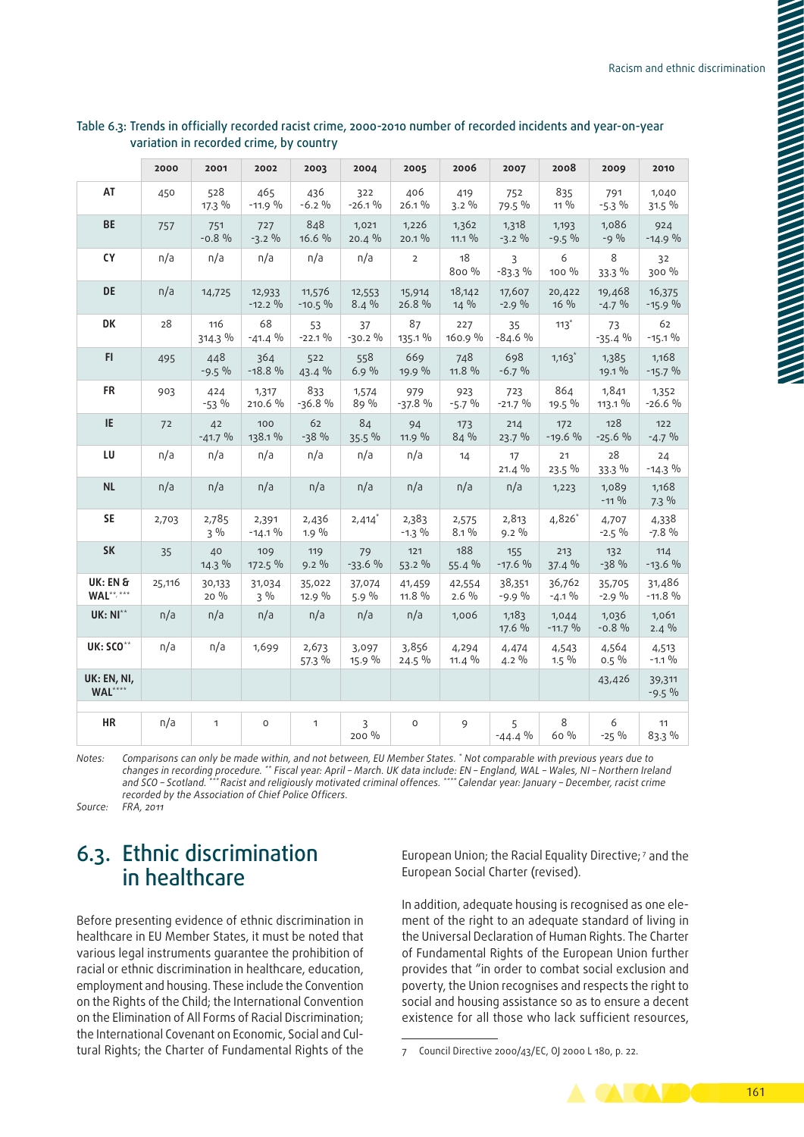|                               | 2000   | 2001             | 2002               | 2003               | 2004              | 2005              | 2006              | 2007               | 2008               | 2009               | 2010                 |
|-------------------------------|--------|------------------|--------------------|--------------------|-------------------|-------------------|-------------------|--------------------|--------------------|--------------------|----------------------|
| AT                            | 450    | 528<br>$17.3\%$  | 465<br>$-11.9%$    | 436<br>$-6.2%$     | 322<br>$-26.1%$   | 406<br>26.1%      | 419<br>$3.2\%$    | 752<br>79.5 %      | 835<br>11 %        | 791<br>$-5.3\%$    | 1,040<br>31.5%       |
| <b>BE</b>                     | 757    | 751<br>$-0.8%$   | 727<br>$-3.2%$     | 848<br>16.6 %      | 1,021<br>$20.4\%$ | 1,226<br>$20.1\%$ | 1,362<br>$11.1\%$ | 1,318<br>$-3.2\%$  | 1,193<br>$-9.5%$   | 1,086<br>$-9\%$    | 924<br>$-14.9%$      |
| <b>CY</b>                     | n/a    | n/a              | n/a                | n/a                | n/a               | $\overline{2}$    | 18<br>$800\%$     | 3<br>$-83.3%$      | 6<br>100 %         | 8<br>33.3 %        | 32<br>300 %          |
| <b>DE</b>                     | n/a    | 14,725           | 12,933<br>$-12.2%$ | 11,576<br>$-10.5%$ | 12,553<br>8.4%    | 15,914<br>26.8 %  | 18,142<br>14 %    | 17,607<br>$-2.9%$  | 20,422<br>16 %     | 19,468<br>$-4.7\%$ | 16,375<br>$-15.9%$   |
| <b>DK</b>                     | 28     | 116<br>314.3 %   | 68<br>$-41.4%$     | 53<br>$-22.1%$     | 37<br>$-30.2%$    | 87<br>135.1 %     | 227<br>160.9 %    | 35<br>$-84.6%$     | $113*$             | 73<br>$-35.4%$     | 62<br>$-15.1%$       |
| FI.                           | 495    | 448<br>$-9.5%$   | 364<br>$-18.8%$    | 522<br>43.4 %      | 558<br>6.9%       | 669<br>19.9 %     | 748<br>11.8 %     | 698<br>$-6.7%$     | $1,163*$           | 1,385<br>19.1 %    | 1,168<br>$-15.7%$    |
| <b>FR</b>                     | 903    | 424<br>$-53\%$   | 1,317<br>210.6 %   | 833<br>$-36.8%$    | 1,574<br>$89\%$   | 979<br>$-37.8%$   | 923<br>$-5.7%$    | 723<br>$-21.7%$    | 864<br>19.5%       | 1,841<br>113.1 %   | 1,352<br>$-26.6%$    |
| IE.                           | 72     | 42<br>$-41.7%$   | 100<br>138.1 %     | 62<br>$-38%$       | 84<br>$35.5\%$    | 94<br>11.9%       | 173<br>84 %       | 214<br>23.7 %      | 172<br>$-19.6%$    | 128<br>$-25.6%$    | 122<br>$-4.7\%$      |
| LU                            | n/a    | n/a              | n/a                | n/a                | n/a               | n/a               | 14                | 17<br>$21.4\%$     | 21<br>23.5 %       | 28<br>33.3 %       | 24<br>$-14.3\%$      |
| <b>NL</b>                     | n/a    | n/a              | n/a                | n/a                | n/a               | n/a               | n/a               | n/a                | 1,223              | 1,089<br>$-11\%$   | 1,168<br>$7.3\%$     |
| <b>SE</b>                     | 2,703  | 2,785<br>$3\%$   | 2,391<br>$-14.1%$  | 2,436<br>$1.9\%$   | $2,414*$          | 2,383<br>$-1.3\%$ | 2,575<br>$8.1\%$  | 2,813<br>$9.2\%$   | 4,826*             | 4,707<br>$-2.5\%$  | 4,338<br>$-7.8%$     |
| <b>SK</b>                     | 35     | 40<br>$14.3\%$   | 109<br>172.5 %     | 119<br>$9.2\%$     | 79<br>$-33.6%$    | 121<br>53.2 %     | 188<br>55.4 %     | 155<br>$-17.6%$    | 213<br>37.4 %      | 132<br>$-38%$      | 114<br>$-13.6%$      |
| UK: EN &<br><b>WAL**, ***</b> | 25,116 | 30,133<br>$20\%$ | 31,034<br>$3\%$    | 35,022<br>12.9 %   | 37,074<br>5.9%    | 41,459<br>11.8 %  | 42,554<br>$2.6\%$ | 38,351<br>$-9.9\%$ | 36,762<br>$-4.1\%$ | 35,705<br>$-2.9\%$ | 31,486<br>$-11.8 \%$ |
| <b>UK: NI**</b>               | n/a    | n/a              | n/a                | n/a                | n/a               | n/a               | 1,006             | 1,183<br>17.6 %    | 1,044<br>$-11.7%$  | 1,036<br>$-0.8%$   | 1,061<br>$2.4\%$     |
| UK: SCO**                     | n/a    | n/a              | 1,699              | 2,673<br>57.3 %    | 3,097<br>15.9 %   | 3,856<br>24.5 %   | 4,294<br>$11.4\%$ | 4,474<br>$4.2\%$   | 4,543<br>$1.5\%$   | 4,564<br>$0.5\%$   | 4,513<br>$-1.1\%$    |
| UK: EN, NI,<br>WAL****        |        |                  |                    |                    |                   |                   |                   |                    |                    | 43,426             | 39,311<br>$-9.5%$    |
| <b>HR</b>                     | n/a    | $\mathbf{1}$     | $\circ$            | $\mathbf{1}$       | 3<br>200 %        | $\circ$           | 9                 | 5<br>$-44.4\%$     | 8<br>60 %          | 6<br>$-25\%$       | 11<br>83.3 %         |

### Table 6.3: Trends in officially recorded racist crime, 2000-2010 number of recorded incidents and year-on-year variation in recorded crime, by country

*Notes: Comparisons can only be made within, and not between, EU Member States. \* Not comparable with previous years due to changes in recording procedure. \*\* Fiscal year: April – March. UK data include: EN – England, WAL – Wales, NI – Northern Ireland and SCO – Scotland. \*\*\* Racist and religiously motivated criminal offences. \*\*\*\* Calendar year: January – December, racist crime recorded by the Association of Chief Police Officers.*

*Source: FRA, 2011*

## 6.3. Ethnic discrimination in healthcare

Before presenting evidence of ethnic discrimination in healthcare in EU Member States, it must be noted that various legal instruments guarantee the prohibition of racial or ethnic discrimination in healthcare, education, employment and housing. These include the Convention on the Rights of the Child; the International Convention on the Elimination of All Forms of Racial Discrimination; the International Covenant on Economic, Social and Cultural Rights; the Charter of Fundamental Rights of the European Union; the Racial Equality Directive; 7 and the European Social Charter (revised).

In addition, adequate housing is recognised as one ele‑ ment of the right to an adequate standard of living in the Universal Declaration of Human Rights. The Charter of Fundamental Rights of the European Union further provides that "in order to combat social exclusion and poverty, the Union recognises and respects the right to social and housing assistance so as to ensure a decent existence for all those who lack sufficient resources,

<sup>7</sup> Council Directive 2000/43/EC, OJ 2000 L 180, p. 22.

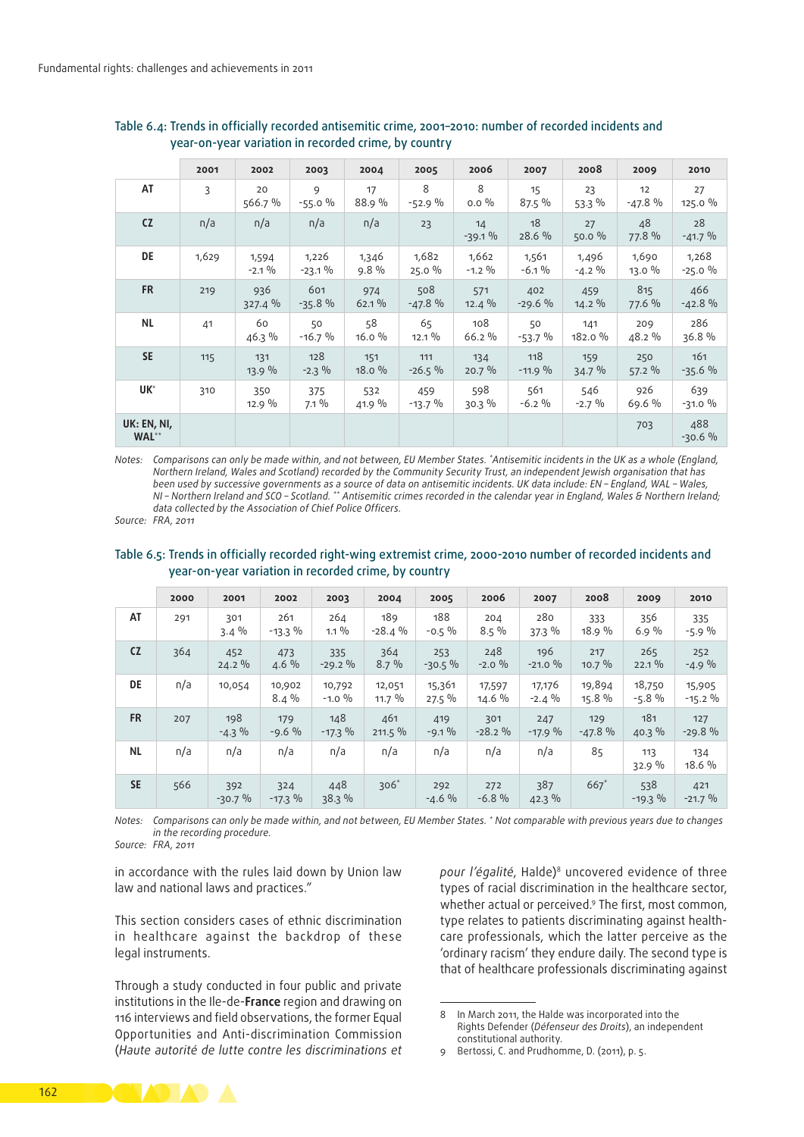|                      | 2001  | 2002              | 2003               | 2004             | 2005            | 2006              | 2007              | 2008               | 2009            | 2010              |
|----------------------|-------|-------------------|--------------------|------------------|-----------------|-------------------|-------------------|--------------------|-----------------|-------------------|
| AT                   | 3     | 20<br>566.7 %     | 9<br>$-55.0%$      | 17<br>88.9 %     | 8<br>$-52.9%$   | 8<br>$0.0\%$      | 15<br>87.5 %      | 23<br>$53.3\%$     | 12<br>$-47.8%$  | 27<br>125.0 %     |
| <b>CZ</b>            | n/a   | n/a               | n/a                | n/a              | 23              | 14<br>$-39.1%$    | 18<br>28.6 %      | 27<br>50.0 %       | 48<br>77.8 %    | 28<br>$-41.7%$    |
| DE                   | 1,629 | 1,594<br>$-2.1\%$ | 1,226<br>$-23.1\%$ | 1,346<br>$9.8\%$ | 1,682<br>25.0%  | 1,662<br>$-1.2\%$ | 1,561<br>$-6.1\%$ | 1,496<br>$-4.2 \%$ | 1,690<br>13.0 % | 1,268<br>$-25.0%$ |
| <b>FR</b>            | 219   | 936<br>327.4 %    | 601<br>$-35.8%$    | 974<br>62.1%     | 508<br>$-47.8%$ | 571<br>$12.4\%$   | 402<br>$-29.6%$   | 459<br>$14.2\%$    | 815<br>77.6 %   | 466<br>$-42.8%$   |
| <b>NL</b>            | 41    | 60<br>46.3 %      | 50<br>$-16.7%$     | 58<br>16.0%      | 65<br>$12.1\%$  | 108<br>66.2 %     | 50<br>$-53.7%$    | 141<br>182.0 %     | 209<br>48.2 %   | 286<br>36.8%      |
| <b>SE</b>            | 115   | 131<br>13.9 %     | 128<br>$-2.3\%$    | 151<br>18.0%     | 111<br>$-26.5%$ | 134<br>$20.7\%$   | 118<br>$-11.9%$   | 159<br>34.7 %      | 250<br>$57.2\%$ | 161<br>$-35.6%$   |
| UK <sup>*</sup>      | 310   | 350<br>12.9%      | 375<br>$7.1\%$     | 532<br>41.9 %    | 459<br>$-13.7%$ | 598<br>30.3%      | 561<br>$-6.2\%$   | 546<br>$-2.7\%$    | 926<br>69.6 %   | 639<br>$-31.0%$   |
| UK: EN, NI,<br>WAL** |       |                   |                    |                  |                 |                   |                   |                    | 703             | 488<br>$-30.6%$   |

Table 6.4: Trends in officially recorded antisemitic crime, 2001–2010: number of recorded incidents and year‑on‑year variation in recorded crime, by country

*Notes: Comparisons can only be made within, and not between, EU Member States. \* Antisemitic incidents in the UK as a whole (England, Northern Ireland, Wales and Scotland) recorded by the Community Security Trust, an independent Jewish organisation that has been used by successive governments as a source of data on antisemitic incidents. UK data include: EN – England, WAL – Wales, NI – Northern Ireland and SCO – Scotland. \*\* Antisemitic crimes recorded in the calendar year in England, Wales & Northern Ireland; data collected by the Association of Chief Police Officers.*

*Source: FRA, 2011*

#### Table 6.5: Trends in officially recorded right-wing extremist crime, 2000-2010 number of recorded incidents and year‑on‑year variation in recorded crime, by country

|           | 2000 | 2001            | 2002              | 2003                | 2004               | 2005               | 2006             | 2007               | 2008             | 2009              | 2010                 |
|-----------|------|-----------------|-------------------|---------------------|--------------------|--------------------|------------------|--------------------|------------------|-------------------|----------------------|
| AT        | 291  | 301<br>$3.4\%$  | 261<br>$-13.3\%$  | 264<br>$1.1\%$      | 189<br>$-28.4%$    | 188<br>$-0.5\%$    | 204<br>$8.5\%$   | 280<br>37.3 %      | 333<br>18.9 %    | 356<br>6.9%       | 335<br>$-5.9%$       |
| <b>CZ</b> | 364  | 452<br>$24.2\%$ | 473<br>$4.6\%$    | 335<br>$-29.2\%$    | 364<br>$8.7\%$     | 253<br>$-30.5%$    | 248<br>$-2.0%$   | 196<br>$-21.0%$    | 217<br>$10.7\%$  | 265<br>22.1%      | 252<br>$-4.9%$       |
| <b>DE</b> | n/a  | 10,054          | 10,902<br>$8.4\%$ | 10,792<br>$-1.0 \%$ | 12,051<br>$11.7\%$ | 15,361<br>$27.5\%$ | 17,597<br>14.6 % | 17,176<br>$-2.4\%$ | 19,894<br>15.8 % | 18,750<br>$-5.8%$ | 15,905<br>$-15.2 \%$ |
| <b>FR</b> | 207  | 198<br>$-4.3\%$ | 179<br>$-9.6%$    | 148<br>$-17.3\%$    | 461<br>211.5 %     | 419<br>$-9.1\%$    | 301<br>$-28.2%$  | 247<br>$-17.9%$    | 129<br>$-47.8%$  | 181<br>$40.3\%$   | 127<br>$-29.8%$      |
| <b>NL</b> | n/a  | n/a             | n/a               | n/a                 | n/a                | n/a                | n/a              | n/a                | 85               | 113<br>32.9%      | 134<br>18.6 %        |
| <b>SE</b> | 566  | 392<br>$-30.7%$ | 324<br>$-17.3\%$  | 448<br>38.3%        | $306*$             | 292<br>$-4.6%$     | 272<br>$-6.8%$   | 387<br>$42.3\%$    | $667*$           | 538<br>$-19.3\%$  | 421<br>$-21.7%$      |

*Notes: Comparisons can only be made within, and not between, EU Member States. \* Not comparable with previous years due to changes in the recording procedure.*

*Source: FRA, 2011*

in accordance with the rules laid down by Union law law and national laws and practices."

This section considers cases of ethnic discrimination in healthcare against the backdrop of these legal instruments.

Through a study conducted in four public and private institutions in the Ile‑de‑**France** region and drawing on 116 interviews and field observations, the former Equal Opportunities and Anti‑discrimination Commission (*Haute autorité de lutte contre les discriminations et* 

pour l'égalité, Halde)<sup>8</sup> uncovered evidence of three types of racial discrimination in the healthcare sector, whether actual or perceived.<sup>9</sup> The first, most common, type relates to patients discriminating against healthcare professionals, which the latter perceive as the 'ordinary racism' they endure daily. The second type is that of healthcare professionals discriminating against



<sup>8</sup> In March 2011, the Halde was incorporated into the Rights Defender (*Défenseur des Droits*), an independent constitutional authority.

<sup>9</sup> Bertossi, C. and Prudhomme, D. (2011), p. 5.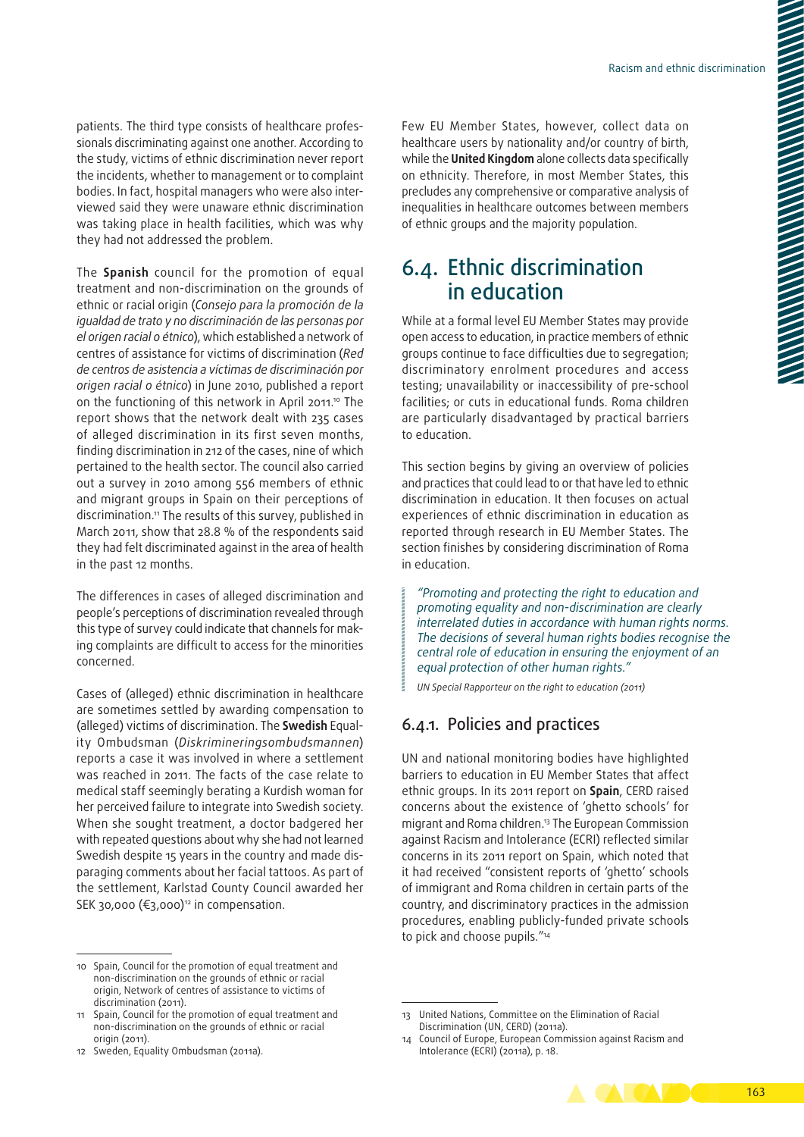patients. The third type consists of healthcare professionals discriminating against one another. According to the study, victims of ethnic discrimination never report the incidents, whether to management or to complaint bodies. In fact, hospital managers who were also interviewed said they were unaware ethnic discrimination was taking place in health facilities, which was why they had not addressed the problem.

The **Spanish** council for the promotion of equal treatment and non‑discrimination on the grounds of ethnic or racial origin (*Consejo para la promoción de la igualdad de trato y no discriminación de las personas por el origen racial o étnico*), which established a network of centres of assistance for victims of discrimination (*Red de centros de asistencia a víctimas de discriminación por origen racial o étnico*) in June 2010, published a report on the functioning of this network in April 2011.<sup>10</sup> The report shows that the network dealt with 235 cases of alleged discrimination in its first seven months, finding discrimination in 212 of the cases, nine of which pertained to the health sector. The council also carried out a survey in 2010 among 556 members of ethnic and migrant groups in Spain on their perceptions of discrimination.<sup>11</sup> The results of this survey, published in March 2011, show that 28.8 % of the respondents said they had felt discriminated against in the area of health in the past 12 months.

The differences in cases of alleged discrimination and people's perceptions of discrimination revealed through this type of survey could indicate that channels for making complaints are difficult to access for the minorities concerned.

Cases of (alleged) ethnic discrimination in healthcare are sometimes settled by awarding compensation to (alleged) victims of discrimination. The **Swedish** Equal‑ ity Ombudsman (*Diskrimineringsombudsmannen*) reports a case it was involved in where a settlement was reached in 2011. The facts of the case relate to medical staff seemingly berating a Kurdish woman for her perceived failure to integrate into Swedish society. When she sought treatment, a doctor badgered her with repeated questions about why she had not learned Swedish despite 15 years in the country and made disparaging comments about her facial tattoos. As part of the settlement, Karlstad County Council awarded her SEK 30,000 ( $\epsilon$ 3,000)<sup>12</sup> in compensation.

Few EU Member States, however, collect data on healthcare users by nationality and/or country of birth, while the **United Kingdom** alone collects data specifically on ethnicity. Therefore, in most Member States, this precludes any comprehensive or comparative analysis of inequalities in healthcare outcomes between members of ethnic groups and the majority population.

## 6.4. Ethnic discrimination in education

While at a formal level EU Member States may provide open access to education, in practice members of ethnic groups continue to face difficulties due to segregation; discriminatory enrolment procedures and access testing; unavailability or inaccessibility of pre‑school facilities; or cuts in educational funds. Roma children are particularly disadvantaged by practical barriers to education.

This section begins by giving an overview of policies and practices that could lead to or that have led to ethnic discrimination in education. It then focuses on actual experiences of ethnic discrimination in education as reported through research in EU Member States. The section finishes by considering discrimination of Roma in education.

*"Promoting and protecting the right to education and promoting equality and non‑discrimination are clearly interrelated duties in accordance with human rights norms. The decisions of several human rights bodies recognise the central role of education in ensuring the enjoyment of an equal protection of other human rights."*

*UN Special Rapporteur on the right to education (2011)*

## 6.4.1. Policies and practices

UN and national monitoring bodies have highlighted barriers to education in EU Member States that affect ethnic groups. In its 2011 report on **Spain**, CERD raised concerns about the existence of 'ghetto schools' for migrant and Roma children.13 The European Commission against Racism and Intolerance (ECRI) reflected similar concerns in its 2011 report on Spain, which noted that it had received "consistent reports of 'ghetto' schools of immigrant and Roma children in certain parts of the country, and discriminatory practices in the admission procedures, enabling publicly‑funded private schools to pick and choose pupils*.*"14

<sup>14</sup> Council of Europe, European Commission against Racism and Intolerance (ECRI) (2011a), p. 18.



<sup>10</sup> Spain, Council for the promotion of equal treatment and non‑discrimination on the grounds of ethnic or racial origin, Network of centres of assistance to victims of discrimination (2011).

<sup>11</sup> Spain, Council for the promotion of equal treatment and non‑discrimination on the grounds of ethnic or racial origin (2011).

<sup>12</sup> Sweden, Equality Ombudsman (2011a).

<sup>13</sup> United Nations, Committee on the Elimination of Racial Discrimination (UN, CERD) (2011a).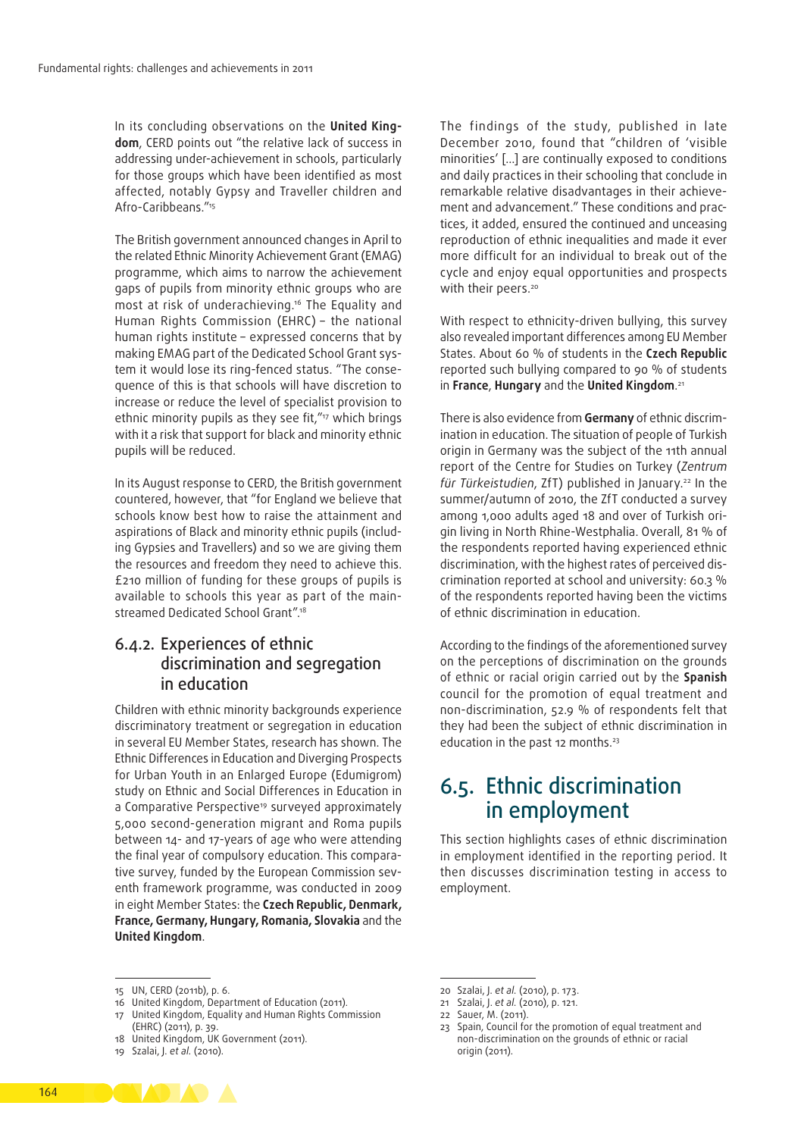In its concluding observations on the **United King‑ dom**, CERD points out "the relative lack of success in addressing under‑achievement in schools, particularly for those groups which have been identified as most affected, notably Gypsy and Traveller children and Afro‑Caribbeans."15

The British government announced changes in April to the related Ethnic Minority Achievement Grant (EMAG) programme, which aims to narrow the achievement gaps of pupils from minority ethnic groups who are most at risk of underachieving.16 The Equality and Human Rights Commission (EHRC) – the national human rights institute – expressed concerns that by making EMAG part of the Dedicated School Grant system it would lose its ring-fenced status. "The consequence of this is that schools will have discretion to increase or reduce the level of specialist provision to ethnic minority pupils as they see fit,"<sup>17</sup> which brings with it a risk that support for black and minority ethnic pupils will be reduced.

In its August response to CERD, the British government countered, however, that "for England we believe that schools know best how to raise the attainment and aspirations of Black and minority ethnic pupils (including Gypsies and Travellers) and so we are giving them the resources and freedom they need to achieve this. £210 million of funding for these groups of pupils is available to schools this year as part of the mainstreamed Dedicated School Grant".18

## 6.4.2. Experiences of ethnic discrimination and segregation in education

Children with ethnic minority backgrounds experience discriminatory treatment or segregation in education in several EU Member States, research has shown. The Ethnic Differences in Education and Diverging Prospects for Urban Youth in an Enlarged Europe (Edumigrom) study on Ethnic and Social Differences in Education in a Comparative Perspective<sup>19</sup> surveyed approximately 5,000 second‑generation migrant and Roma pupils between 14- and 17-years of age who were attending the final year of compulsory education. This comparative survey, funded by the European Commission seventh framework programme, was conducted in 2009 in eight Member States: the **Czech Republic, Denmark, France, Germany, Hungary, Romania, Slovakia** and the **United Kingdom**.

The findings of the study, published in late December 2010, found that "children of 'visible minorities' […] are continually exposed to conditions and daily practices in their schooling that conclude in remarkable relative disadvantages in their achievement and advancement." These conditions and practices, it added, ensured the continued and unceasing reproduction of ethnic inequalities and made it ever more difficult for an individual to break out of the cycle and enjoy equal opportunities and prospects with their peers.<sup>20</sup>

With respect to ethnicity-driven bullying, this survey also revealed important differences among EU Member States. About 60 % of students in the **Czech Republic** reported such bullying compared to 90 % of students in **France**, **Hungary** and the **United Kingdom**. 21

There is also evidence from **Germany** of ethnic discrim‑ ination in education. The situation of people of Turkish origin in Germany was the subject of the 11th annual report of the Centre for Studies on Turkey (*Zentrum für Türkeistudien*, ZfT) published in January.22 In the summer/autumn of 2010, the ZfT conducted a survey among 1,000 adults aged 18 and over of Turkish origin living in North Rhine‑Westphalia. Overall, 81 % of the respondents reported having experienced ethnic discrimination, with the highest rates of perceived dis‑ crimination reported at school and university: 60.3 % of the respondents reported having been the victims of ethnic discrimination in education.

According to the findings of the aforementioned survey on the perceptions of discrimination on the grounds of ethnic or racial origin carried out by the **Spanish** council for the promotion of equal treatment and non‑discrimination, 52.9 % of respondents felt that they had been the subject of ethnic discrimination in education in the past 12 months.<sup>23</sup>

## 6.5. Ethnic discrimination in employment

This section highlights cases of ethnic discrimination in employment identified in the reporting period. It then discusses discrimination testing in access to employment.

17 United Kingdom, Equality and Human Rights Commission



<sup>15</sup> UN, CERD (2011b), p. 6.

<sup>16</sup> United Kingdom, Department of Education (2011).

<sup>(</sup>EHRC) (2011), p. 39. 18 United Kingdom, UK Government (2011).

<sup>19</sup> Szalai, J. *et al.* (2010).

<sup>20</sup> Szalai, J. *et al.* (2010), p. 173.

<sup>21</sup> Szalai, J. *et al.* (2010), p. 121.

<sup>22</sup> Sauer, M. (2011).

<sup>23</sup> Spain, Council for the promotion of equal treatment and non‑discrimination on the grounds of ethnic or racial origin (2011).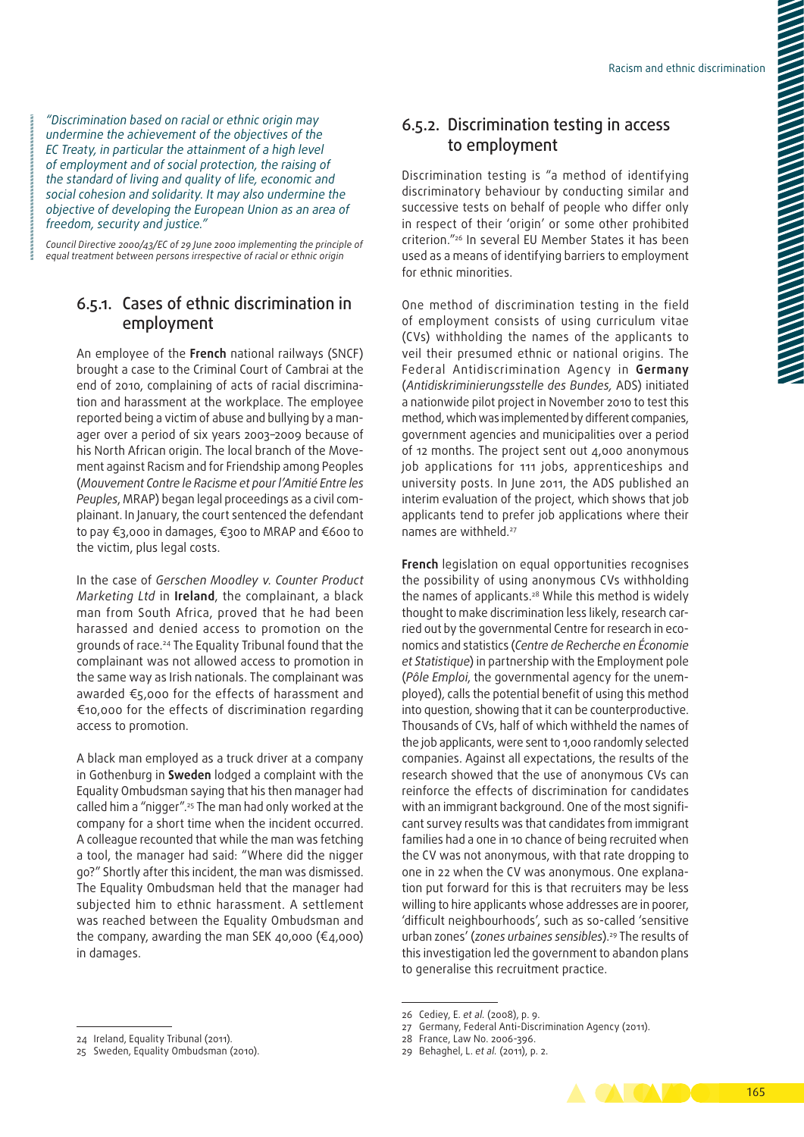*"Discrimination based on racial or ethnic origin may undermine the achievement of the objectives of the EC Treaty, in particular the attainment of a high level of employment and of social protection, the raising of the standard of living and quality of life, economic and social cohesion and solidarity. It may also undermine the objective of developing the European Union as an area of freedom, security and justice."*

*Council Directive 2000/43/EC of 29 June 2000 implementing the principle of equal treatment between persons irrespective of racial or ethnic origin*

## 6.5.1. Cases of ethnic discrimination in employment

An employee of the **French** national railways (SNCF) brought a case to the Criminal Court of Cambrai at the end of 2010, complaining of acts of racial discrimination and harassment at the workplace. The employee reported being a victim of abuse and bullying by a manager over a period of six years 2003–2009 because of his North African origin. The local branch of the Movement against Racism and for Friendship among Peoples (*Mouvement Contre le Racisme et pour l'Amitié Entre les Peuples*, MRAP) began legal proceedings as a civil com‑ plainant. In January, the court sentenced the defendant to pay €3,000 in damages, €300 to MRAP and €600 to the victim, plus legal costs.

In the case of *Gerschen Moodley v. Counter Product Marketing Ltd* in **Ireland**, the complainant, a black man from South Africa, proved that he had been harassed and denied access to promotion on the grounds of race.24 The Equality Tribunal found that the complainant was not allowed access to promotion in the same way as Irish nationals. The complainant was awarded €5,000 for the effects of harassment and €10,000 for the effects of discrimination regarding access to promotion.

A black man employed as a truck driver at a company in Gothenburg in **Sweden** lodged a complaint with the Equality Ombudsman saying that his then manager had called him a "nigger".25 The man had only worked at the company for a short time when the incident occurred. A colleague recounted that while the man was fetching a tool, the manager had said: "Where did the nigger go?" Shortly after this incident, the man was dismissed. The Equality Ombudsman held that the manager had subjected him to ethnic harassment. A settlement was reached between the Equality Ombudsman and the company, awarding the man SEK 40,000 ( $\epsilon$ 4,000) in damages.

## 6.5.2. Discrimination testing in access to employment

Discrimination testing is "a method of identifying discriminatory behaviour by conducting similar and successive tests on behalf of people who differ only in respect of their 'origin' or some other prohibited criterion."26 In several EU Member States it has been used as a means of identifying barriers to employment for ethnic minorities.

One method of discrimination testing in the field of employment consists of using curriculum vitae (CVs) withholding the names of the applicants to veil their presumed ethnic or national origins. The Federal Antidiscrimination Agency in **Germany** (*Antidiskriminierungsstelle des Bundes,* ADS) initiated a nationwide pilot project in November 2010 to test this method, which was implemented by different companies, government agencies and municipalities over a period of 12 months. The project sent out 4,000 anonymous job applications for 111 jobs, apprenticeships and university posts. In June 2011, the ADS published an interim evaluation of the project, which shows that job applicants tend to prefer job applications where their names are withheld.<sup>27</sup>

**French** legislation on equal opportunities recognises the possibility of using anonymous CVs withholding the names of applicants.<sup>28</sup> While this method is widely thought to make discrimination less likely, research car‑ ried out by the governmental Centre for research in economics and statistics (*Centre de Recherche en Économie et Statistique*) in partnership with the Employment pole (*Pôle Emploi*, the governmental agency for the unem‑ ployed), calls the potential benefit of using this method into question, showing that it can be counterproductive. Thousands of CVs, half of which withheld the names of the job applicants, were sent to 1,000 randomly selected companies. Against all expectations, the results of the research showed that the use of anonymous CVs can reinforce the effects of discrimination for candidates with an immigrant background. One of the most significant survey results was that candidates from immigrant families had a one in 10 chance of being recruited when the CV was not anonymous, with that rate dropping to one in 22 when the CV was anonymous. One explanation put forward for this is that recruiters may be less willing to hire applicants whose addresses are in poorer, 'difficult neighbourhoods', such as so‑called 'sensitive urban zones' (zones urbaines sensibles).<sup>29</sup> The results of this investigation led the government to abandon plans to generalise this recruitment practice.

**ACACAMINE** 165

<sup>26</sup> Cediey, E. *et al.* (2008), p. 9.

<sup>27</sup> Germany, Federal Anti‑Discrimination Agency (2011).

<sup>28</sup> France, Law No. 2006-396.

<sup>29</sup> Behaghel, L. *et al.* (2011), p. 2.

<sup>24</sup> Ireland, Equality Tribunal (2011).

<sup>25</sup> Sweden, Equality Ombudsman (2010).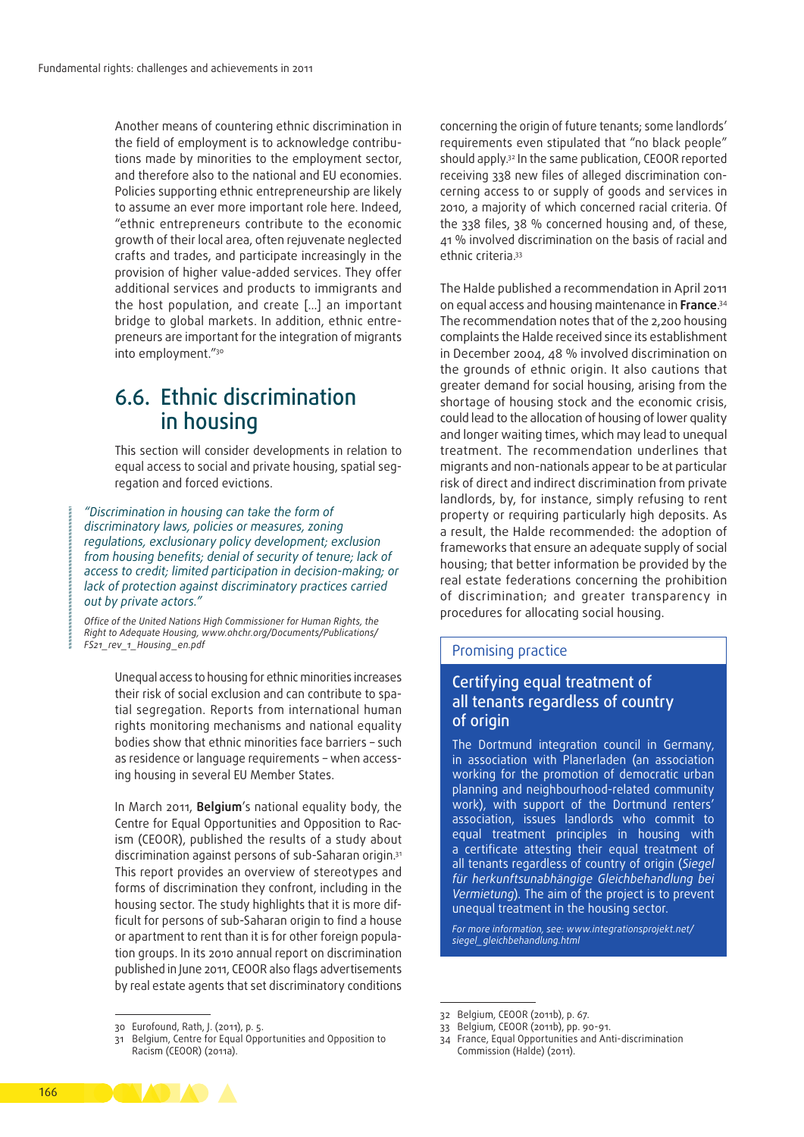Another means of countering ethnic discrimination in the field of employment is to acknowledge contributions made by minorities to the employment sector, and therefore also to the national and EU economies. Policies supporting ethnic entrepreneurship are likely to assume an ever more important role here. Indeed, "ethnic entrepreneurs contribute to the economic growth of their local area, often rejuvenate neglected crafts and trades, and participate increasingly in the provision of higher value‑added services. They offer additional services and products to immigrants and the host population, and create […] an important bridge to global markets. In addition, ethnic entrepreneurs are important for the integration of migrants into employment."30

## 6.6. Ethnic discrimination in housing

This section will consider developments in relation to equal access to social and private housing, spatial seqregation and forced evictions.

*"Discrimination in housing can take the form of discriminatory laws, policies or measures, zoning regulations, exclusionary policy development; exclusion from housing benefits; denial of security of tenure; lack of access to credit; limited participation in decision‑making; or lack of protection against discriminatory practices carried out by private actors."*

*Office of the United Nations High Commissioner for Human Rights, the Right to Adequate Housing, [www.ohchr.org/Documents/Publications/](http://www.ohchr.org/Documents/Publications/FS21_rev_1_Housing_en.pdf) [FS21\\_rev\\_1\\_Housing\\_en.pdf](http://www.ohchr.org/Documents/Publications/FS21_rev_1_Housing_en.pdf)*

> Unequal access to housing for ethnic minorities increases their risk of social exclusion and can contribute to spatial segregation. Reports from international human rights monitoring mechanisms and national equality bodies show that ethnic minorities face barriers – such as residence or language requirements - when accessing housing in several EU Member States.

> In March 2011, **Belgium**'s national equality body, the Centre for Equal Opportunities and Opposition to Racism (CEOOR), published the results of a study about discrimination against persons of sub-Saharan origin.31 This report provides an overview of stereotypes and forms of discrimination they confront, including in the housing sector. The study highlights that it is more difficult for persons of sub‑Saharan origin to find a house or apartment to rent than it is for other foreign population groups. In its 2010 annual report on discrimination published in June 2011, CEOOR also flags advertisements by real estate agents that set discriminatory conditions

concerning the origin of future tenants; some landlords' requirements even stipulated that "no black people" should apply.32 In the same publication, CEOOR reported receiving 338 new files of alleged discrimination con‑ cerning access to or supply of goods and services in 2010, a majority of which concerned racial criteria. Of the 338 files, 38 % concerned housing and, of these, 41 % involved discrimination on the basis of racial and ethnic criteria.33

The Halde published a recommendation in April 2011 on equal access and housing maintenance in **France**. 34 The recommendation notes that of the 2,200 housing complaints the Halde received since its establishment in December 2004, 48 % involved discrimination on the grounds of ethnic origin. It also cautions that greater demand for social housing, arising from the shortage of housing stock and the economic crisis, could lead to the allocation of housing of lower quality and longer waiting times, which may lead to unequal treatment. The recommendation underlines that migrants and non‑nationals appear to be at particular risk of direct and indirect discrimination from private landlords, by, for instance, simply refusing to rent property or requiring particularly high deposits. As a result, the Halde recommended: the adoption of frameworks that ensure an adequate supply of social housing; that better information be provided by the real estate federations concerning the prohibition of discrimination; and greater transparency in procedures for allocating social housing.

#### Promising practice

## Certifying equal treatment of all tenants regardless of country of origin

The Dortmund integration council in Germany, in association with Planerladen (an association working for the promotion of democratic urban planning and neighbourhood‑related community work), with support of the Dortmund renters' association, issues landlords who commit to equal treatment principles in housing with a certificate attesting their equal treatment of all tenants regardless of country of origin (*Siegel für herkunftsunabhängige Gleichbehandlung bei Vermietung*). The aim of the project is to prevent unequal treatment in the housing sector.

*For more information, see: [www.integrationsprojekt.net/](http://www.integrationsprojekt.net/siegel_gleichbehandlung.html) [siegel\\_gleichbehandlung.html](http://www.integrationsprojekt.net/siegel_gleichbehandlung.html)*

34 France, Equal Opportunities and Anti-discrimination Commission (Halde) (2011).



<sup>30</sup> Eurofound, Rath, J. (2011), p. 5.

<sup>31</sup> Belgium, Centre for Equal Opportunities and Opposition to Racism (CEOOR) (2011a).

<sup>32</sup> Belgium, CEOOR (2011b), p. 67.

<sup>33</sup> Belgium, CEOOR (2011b), pp. 90-91.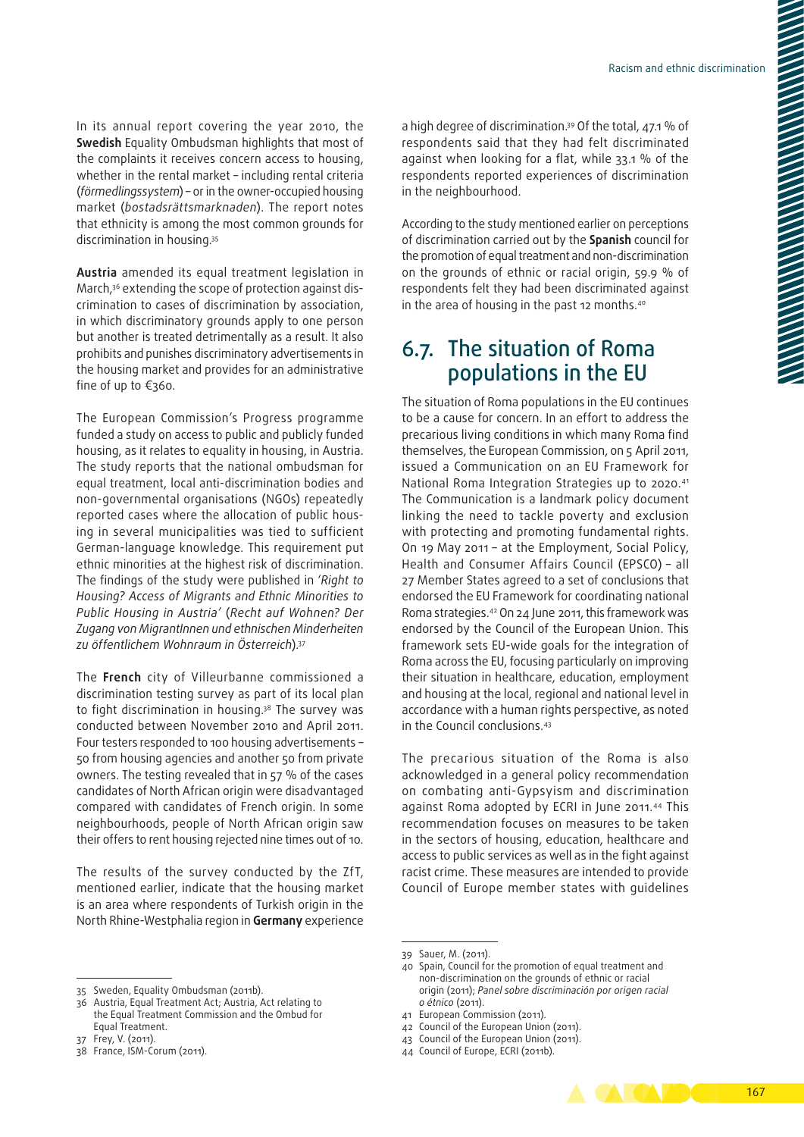In its annual report covering the year 2010, the **Swedish** Equality Ombudsman highlights that most of the complaints it receives concern access to housing, whether in the rental market – including rental criteria (*förmedlingssystem*) – or in the owner‑occupied housing market (*bostadsrättsmarknaden*). The report notes that ethnicity is among the most common grounds for discrimination in housing.35

**Austria** amended its equal treatment legislation in March,<sup>36</sup> extending the scope of protection against discrimination to cases of discrimination by association, in which discriminatory grounds apply to one person but another is treated detrimentally as a result. It also prohibits and punishes discriminatory advertisements in the housing market and provides for an administrative fine of up to €360.

The European Commission's Progress programme funded a study on access to public and publicly funded housing, as it relates to equality in housing, in Austria. The study reports that the national ombudsman for equal treatment, local anti‑discrimination bodies and non‑governmental organisations (NGOs) repeatedly reported cases where the allocation of public housing in several municipalities was tied to sufficient German‑language knowledge. This requirement put ethnic minorities at the highest risk of discrimination. The findings of the study were published in '*Right to Housing? Access of Migrants and Ethnic Minorities to Public Housing in Austria'* (*Recht auf Wohnen? Der Zugang von MigrantInnen und ethnischen Minderheiten zu öffentlichem Wohnraum in Österreich*).37

The **French** city of Villeurbanne commissioned a discrimination testing survey as part of its local plan to fight discrimination in housing.38 The survey was conducted between November 2010 and April 2011. Four testers responded to 100 housing advertisements – 50 from housing agencies and another 50 from private owners. The testing revealed that in 57 % of the cases candidates of North African origin were disadvantaged compared with candidates of French origin. In some neighbourhoods, people of North African origin saw their offers to rent housing rejected nine times out of 10.

The results of the survey conducted by the ZfT, mentioned earlier, indicate that the housing market is an area where respondents of Turkish origin in the North Rhine‑Westphalia region in **Germany** experience

a high degree of discrimination.39 Of the total, 47.1 % of respondents said that they had felt discriminated against when looking for a flat, while 33.1 % of the respondents reported experiences of discrimination in the neighbourhood.

According to the study mentioned earlier on perceptions of discrimination carried out by the **Spanish** council for the promotion of equal treatment and non‑discrimination on the grounds of ethnic or racial origin, 59.9 % of respondents felt they had been discriminated against in the area of housing in the past 12 months.<sup>40</sup>

## 6.7. The situation of Roma populations in the EU

The situation of Roma populations in the EU continues to be a cause for concern. In an effort to address the precarious living conditions in which many Roma find themselves, the European Commission, on 5 April 2011, issued a Communication on an EU Framework for National Roma Integration Strategies up to 2020.41 The Communication is a landmark policy document linking the need to tackle poverty and exclusion with protecting and promoting fundamental rights. On 19 May 2011 – at the Employment, Social Policy, Health and Consumer Affairs Council (EPSCO) – all 27 Member States agreed to a set of conclusions that endorsed the EU Framework for coordinating national Roma strategies.42 On 24 June 2011, this framework was endorsed by the Council of the European Union. This framework sets EU‑wide goals for the integration of Roma across the EU, focusing particularly on improving their situation in healthcare, education, employment and housing at the local, regional and national level in accordance with a human rights perspective, as noted in the Council conclusions.43

The precarious situation of the Roma is also acknowledged in a general policy recommendation on combating anti‑Gypsyism and discrimination against Roma adopted by ECRI in June 2011.44 This recommendation focuses on measures to be taken in the sectors of housing, education, healthcare and access to public services as well as in the fight against racist crime. These measures are intended to provide Council of Europe member states with guidelines

- 43 Council of the European Union (2011).
- 44 Council of Europe, ECRI (2011b).



<sup>35</sup> Sweden, Equality Ombudsman (2011b).

<sup>36</sup> Austria, Equal Treatment Act; Austria, Act relating to the Equal Treatment Commission and the Ombud for Equal Treatment.

<sup>37</sup> Frey, V. (2011).

<sup>38</sup> France, ISM‑Corum (2011).

<sup>39</sup> Sauer, M. (2011).

<sup>40</sup> Spain, Council for the promotion of equal treatment and non‑discrimination on the grounds of ethnic or racial origin (2011); *Panel sobre discriminación por origen racial o étnico* (2011).

<sup>41</sup> European Commission (2011).

<sup>42</sup> Council of the European Union (2011).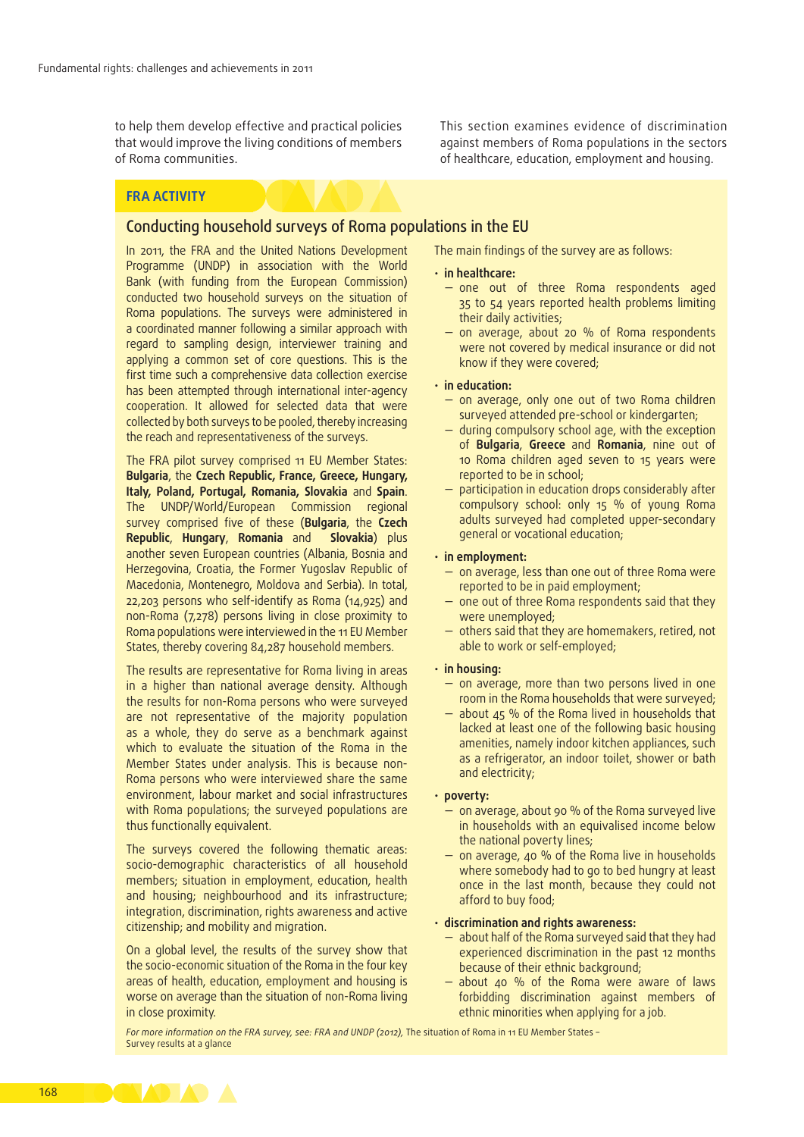to help them develop effective and practical policies that would improve the living conditions of members of Roma communities.

#### **FRA ACTIVITY**

#### Conducting household surveys of Roma populations in the EU

In 2011, the FRA and the United Nations Development Programme (UNDP) in association with the World Bank (with funding from the European Commission) conducted two household surveys on the situation of Roma populations. The surveys were administered in a coordinated manner following a similar approach with regard to sampling design, interviewer training and applying a common set of core questions. This is the first time such a comprehensive data collection exercise has been attempted through international inter-agency cooperation. It allowed for selected data that were collected by both surveys to be pooled, thereby increasing the reach and representativeness of the surveys.

The FRA pilot survey comprised 11 EU Member States: **Bulgaria**, the **Czech Republic, France, Greece, Hungary, Italy, Poland, Portugal, Romania, Slovakia** and **Spain**. The UNDP/World/European Commission regional survey comprised five of these (**Bulgaria**, the **Czech Republic**, **Hungary**, **Romania** and **Slovakia**) plus another seven European countries (Albania, Bosnia and Herzegovina, Croatia, the Former Yugoslav Republic of Macedonia, Montenegro, Moldova and Serbia). In total, 22,203 persons who self-identify as Roma (14,925) and non-Roma (7,278) persons living in close proximity to Roma populations were interviewed in the 11 EU Member States, thereby covering 84,287 household members.

The results are representative for Roma living in areas in a higher than national average density. Although the results for non-Roma persons who were surveyed are not representative of the majority population as a whole, they do serve as a benchmark against which to evaluate the situation of the Roma in the Member States under analysis. This is because non-Roma persons who were interviewed share the same environment, labour market and social infrastructures with Roma populations; the surveyed populations are thus functionally equivalent.

The surveys covered the following thematic areas: socio-demographic characteristics of all household members; situation in employment, education, health and housing; neighbourhood and its infrastructure; integration, discrimination, rights awareness and active citizenship; and mobility and migration.

On a global level, the results of the survey show that the socio-economic situation of the Roma in the four key areas of health, education, employment and housing is worse on average than the situation of non-Roma living in close proximity.

This section examines evidence of discrimination against members of Roma populations in the sectors of healthcare, education, employment and housing.

The main findings of the survey are as follows:

#### • **in healthcare:**

- one out of three Roma respondents aged 35 to 54 years reported health problems limiting their daily activities;
- on average, about 20 % of Roma respondents were not covered by medical insurance or did not know if they were covered;

#### • **in education:**

- on average, only one out of two Roma children surveyed attended pre-school or kindergarten;
- during compulsory school age, with the exception of **Bulgaria**, **Greece** and **Romania**, nine out of 10 Roma children aged seven to 15 years were reported to be in school;
- participation in education drops considerably after compulsory school: only 15 % of young Roma adults surveyed had completed upper-secondary general or vocational education;

#### • **in employment:**

- on average, less than one out of three Roma were reported to be in paid employment;
- one out of three Roma respondents said that they were unemployed;
- others said that they are homemakers, retired, not able to work or self-employed;
- **in housing:**
	- on average, more than two persons lived in one room in the Roma households that were surveyed;
	- about  $45$  % of the Roma lived in households that lacked at least one of the following basic housing amenities, namely indoor kitchen appliances, such as a refrigerator, an indoor toilet, shower or bath and electricity;

#### • **poverty:**

- on average, about 90 % of the Roma surveyed live in households with an equivalised income below the national poverty lines;
- on average, 40 % of the Roma live in households where somebody had to go to bed hungry at least once in the last month, because they could not afford to buy food;

#### • **discrimination and rights awareness:**

- about half of the Roma surveyed said that they had experienced discrimination in the past 12 months because of their ethnic background;
- about 40 % of the Roma were aware of laws forbidding discrimination against members of ethnic minorities when applying for a job.

For more information on the FRA survey, see: FRA and UNDP (2012), The situation of Roma in 11 EU Member States -Survey results at a glance

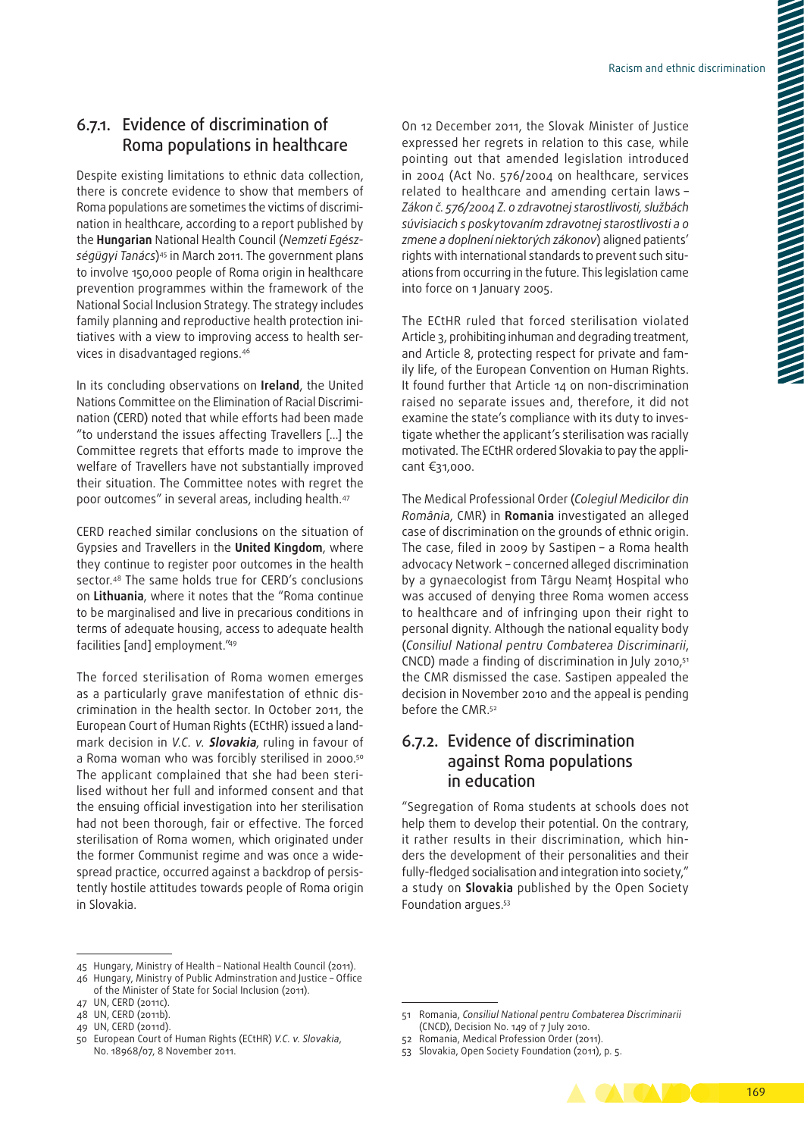## 6.7.1. Evidence of discrimination of Roma populations in healthcare

Despite existing limitations to ethnic data collection, there is concrete evidence to show that members of Roma populations are sometimes the victims of discrimination in healthcare, according to a report published by the **Hungarian** National Health Council (*Nemzeti Egész‑ ségügyi Tanács*)45 in March 2011. The government plans to involve 150,000 people of Roma origin in healthcare prevention programmes within the framework of the National Social Inclusion Strategy. The strategy includes family planning and reproductive health protection initiatives with a view to improving access to health services in disadvantaged regions.46

In its concluding observations on **Ireland**, the United Nations Committee on the Elimination of Racial Discrimination (CERD) noted that while efforts had been made "to understand the issues affecting Travellers […] the Committee regrets that efforts made to improve the welfare of Travellers have not substantially improved their situation. The Committee notes with regret the poor outcomes" in several areas, including health.47

CERD reached similar conclusions on the situation of Gypsies and Travellers in the **United Kingdom**, where they continue to register poor outcomes in the health sector.48 The same holds true for CERD's conclusions on **Lithuania**, where it notes that the "Roma continue to be marginalised and live in precarious conditions in terms of adequate housing, access to adequate health facilities [and] employment."49

The forced sterilisation of Roma women emerges as a particularly grave manifestation of ethnic discrimination in the health sector. In October 2011, the European Court of Human Rights (ECtHR) issued a land‑ mark decision in *V.C. v.* **Slovakia**, ruling in favour of a Roma woman who was forcibly sterilised in 2000.<sup>50</sup> The applicant complained that she had been sterilised without her full and informed consent and that the ensuing official investigation into her sterilisation had not been thorough, fair or effective. The forced sterilisation of Roma women, which originated under the former Communist regime and was once a widespread practice, occurred against a backdrop of persistently hostile attitudes towards people of Roma origin in Slovakia.

On 12 December 2011, the Slovak Minister of Justice expressed her regrets in relation to this case, while pointing out that amended legislation introduced in 2004 (Act No. 576/2004 on healthcare, services related to healthcare and amending certain laws – *Zákon č. 576/2004 Z. o zdravotnej starostlivosti, službách súvisiacich s poskytovaním zdravotnej starostlivosti a o zmene a doplnení niektorých zákonov*) aligned patients' rights with international standards to prevent such situations from occurring in the future. This legislation came into force on 1 January 2005.

The ECtHR ruled that forced sterilisation violated Article 3, prohibiting inhuman and degrading treatment, and Article 8, protecting respect for private and family life, of the European Convention on Human Rights. It found further that Article 14 on non-discrimination raised no separate issues and, therefore, it did not examine the state's compliance with its duty to investigate whether the applicant's sterilisation was racially motivated. The ECtHR ordered Slovakia to pay the applicant €31,000.

The Medical Professional Order (*Colegiul Medicilor din România*, CMR) in **Romania** investigated an alleged case of discrimination on the grounds of ethnic origin. The case, filed in 2009 by Sastipen – a Roma health advocacy Network – concerned alleged discrimination by a gynaecologist from Târgu Neamţ Hospital who was accused of denying three Roma women access to healthcare and of infringing upon their right to personal dignity. Although the national equality body (*Consiliul National pentru Combaterea Discriminarii*, CNCD) made a finding of discrimination in July 2010,51 the CMR dismissed the case. Sastipen appealed the decision in November 2010 and the appeal is pending before the CMR.52

## 6.7.2. Evidence of discrimination against Roma populations in education

"Segregation of Roma students at schools does not help them to develop their potential. On the contrary, it rather results in their discrimination, which hinders the development of their personalities and their fully-fledged socialisation and integration into society," a study on **Slovakia** published by the Open Society Foundation argues.53

<sup>53</sup> Slovakia, Open Society Foundation (2011), p. 5.



<sup>45</sup> Hungary, Ministry of Health – National Health Council (2011). 46 Hungary, Ministry of Public Adminstration and Justice – Office

of the Minister of State for Social Inclusion (2011).

<sup>47</sup> UN, CERD (2011c).

<sup>48</sup> UN, CERD (2011b).

<sup>49</sup> UN, CERD (2011d).

<sup>50</sup> European Court of Human Rights (ECtHR) *V.C. v. Slovakia*, No. 18968/07, 8 November 2011.

<sup>51</sup> Romania, *Consiliul National pentru Combaterea Discriminarii* (CNCD), Decision No. 149 of 7 July 2010.

<sup>52</sup> Romania, Medical Profession Order (2011).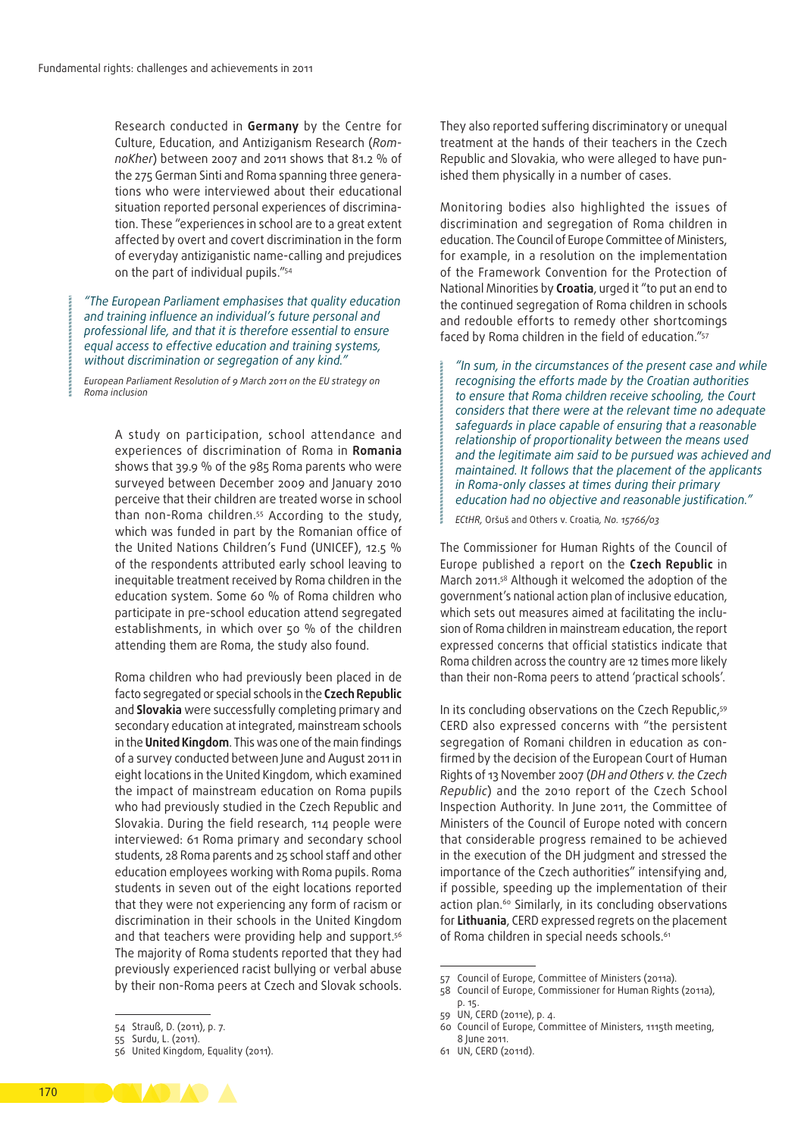Research conducted in **Germany** by the Centre for Culture, Education, and Antiziganism Research (*Rom‑ noKher*) between 2007 and 2011 shows that 81.2 % of the 275 German Sinti and Roma spanning three generations who were interviewed about their educational situation reported personal experiences of discrimination. These "experiences in school are to a great extent affected by overt and covert discrimination in the form of everyday antiziganistic name‑calling and prejudices on the part of individual pupils."54

*"The European Parliament emphasises that quality education and training influence an individual's future personal and professional life, and that it is therefore essential to ensure equal access to effective education and training systems, without discrimination or segregation of any kind."*

*European Parliament Resolution of 9 March 2011 on the EU strategy on Roma inclusion*

> A study on participation, school attendance and experiences of discrimination of Roma in **Romania**  shows that 39.9 % of the 985 Roma parents who were surveyed between December 2009 and January 2010 perceive that their children are treated worse in school than non‑Roma children.55 According to the study, which was funded in part by the Romanian office of the United Nations Children's Fund (UNICEF), 12.5 % of the respondents attributed early school leaving to inequitable treatment received by Roma children in the education system. Some 60 % of Roma children who participate in pre‑school education attend segregated establishments, in which over 50 % of the children attending them are Roma, the study also found.

> Roma children who had previously been placed in de facto segregated or special schools in the **Czech Republic** and **Slovakia** were successfully completing primary and secondary education at integrated, mainstream schools in the **United Kingdom**. This was one of the main findings of a survey conducted between June and August 2011 in eight locations in the United Kingdom, which examined the impact of mainstream education on Roma pupils who had previously studied in the Czech Republic and Slovakia. During the field research, 114 people were interviewed: 61 Roma primary and secondary school students, 28 Roma parents and 25 school staff and other education employees working with Roma pupils. Roma students in seven out of the eight locations reported that they were not experiencing any form of racism or discrimination in their schools in the United Kingdom and that teachers were providing help and support.<sup>56</sup> The majority of Roma students reported that they had previously experienced racist bullying or verbal abuse by their non‑Roma peers at Czech and Slovak schools.

They also reported suffering discriminatory or unequal treatment at the hands of their teachers in the Czech Republic and Slovakia, who were alleged to have punished them physically in a number of cases.

Monitoring bodies also highlighted the issues of discrimination and segregation of Roma children in education. The Council of Europe Committee of Ministers, for example, in a resolution on the implementation of the Framework Convention for the Protection of National Minorities by **Croatia**, urged it "to put an end to the continued segregation of Roma children in schools and redouble efforts to remedy other shortcomings faced by Roma children in the field of education."57

*"In sum, in the circumstances of the present case and while recognising the efforts made by the Croatian authorities to ensure that Roma children receive schooling, the Court considers that there were at the relevant time no adequate safeguards in place capable of ensuring that a reasonable relationship of proportionality between the means used and the legitimate aim said to be pursued was achieved and maintained. It follows that the placement of the applicants in Roma‑only classes at times during their primary education had no objective and reasonable justification."*

*ECtHR,* Oršuš and Others v. Croatia*, No. 15766/03*

The Commissioner for Human Rights of the Council of Europe published a report on the **Czech Republic** in March 2011.58 Although it welcomed the adoption of the government's national action plan of inclusive education, which sets out measures aimed at facilitating the inclusion of Roma children in mainstream education, the report expressed concerns that official statistics indicate that Roma children across the country are 12 times more likely than their non‑Roma peers to attend 'practical schools'.

In its concluding observations on the Czech Republic,<sup>59</sup> CERD also expressed concerns with "the persistent segregation of Romani children in education as confirmed by the decision of the European Court of Human Rights of 13 November 2007 (*DH and Others v. the Czech Republic*) and the 2010 report of the Czech School Inspection Authority. In June 2011, the Committee of Ministers of the Council of Europe noted with concern that considerable progress remained to be achieved in the execution of the DH judgment and stressed the importance of the Czech authorities" intensifying and, if possible, speeding up the implementation of their action plan.<sup>60</sup> Similarly, in its concluding observations for **Lithuania**, CERD expressed regrets on the placement of Roma children in special needs schools.<sup>61</sup>

61 UN, CERD (2011d).



<sup>54</sup> Strauß, D. (2011), p. 7.

<sup>55</sup> Surdu, L. (2011).

<sup>56</sup> United Kingdom, Equality (2011).

<sup>57</sup> Council of Europe, Committee of Ministers (2011a).

<sup>58</sup> Council of Europe, Commissioner for Human Rights (2011a), p. 15.

<sup>59</sup> UN, CERD (2011e), p. 4.

<sup>60</sup> Council of Europe, Committee of Ministers, 1115th meeting, 8 June 2011.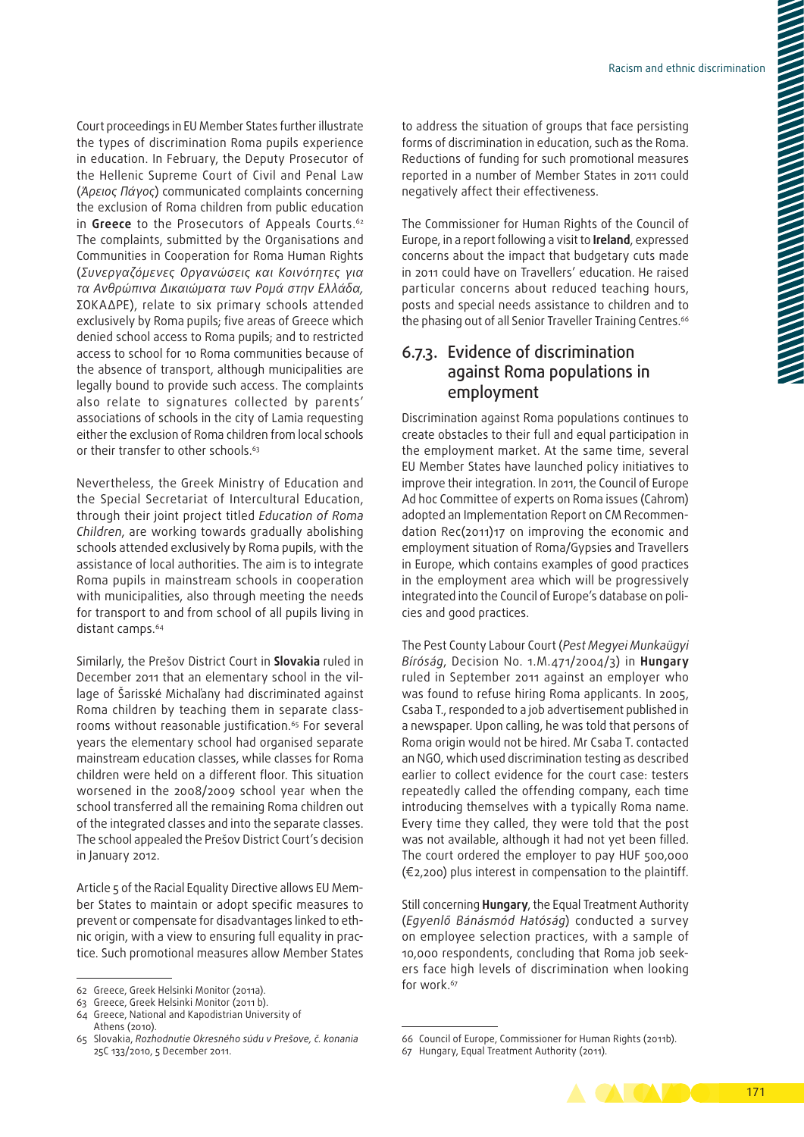Court proceedings in EU Member States further illustrate the types of discrimination Roma pupils experience in education. In February, the Deputy Prosecutor of the Hellenic Supreme Court of Civil and Penal Law (*Άρειος Πάγος*) communicated complaints concerning the exclusion of Roma children from public education in **Greece** to the Prosecutors of Appeals Courts.<sup>62</sup> The complaints, submitted by the Organisations and Communities in Cooperation for Roma Human Rights (*Συνεργαζόμενες Οργανώσεις και Κοινότητες για τα Ανθρώπινα Δικαιώματα των Ρομά στην Ελλάδα,* ΣΟΚΑΔΡΕ), relate to six primary schools attended exclusively by Roma pupils; five areas of Greece which denied school access to Roma pupils; and to restricted access to school for 10 Roma communities because of the absence of transport, although municipalities are legally bound to provide such access. The complaints also relate to signatures collected by parents' associations of schools in the city of Lamia requesting either the exclusion of Roma children from local schools or their transfer to other schools.<sup>63</sup>

Nevertheless, the Greek Ministry of Education and the Special Secretariat of Intercultural Education, through their joint project titled *Education of Roma Children*, are working towards gradually abolishing schools attended exclusively by Roma pupils, with the assistance of local authorities. The aim is to integrate Roma pupils in mainstream schools in cooperation with municipalities, also through meeting the needs for transport to and from school of all pupils living in distant camps.<sup>64</sup>

Similarly, the Prešov District Court in **Slovakia** ruled in December 2011 that an elementary school in the village of Šarisské Michaľany had discriminated against Roma children by teaching them in separate classrooms without reasonable justification.<sup>65</sup> For several years the elementary school had organised separate mainstream education classes, while classes for Roma children were held on a different floor. This situation worsened in the 2008/2009 school year when the school transferred all the remaining Roma children out of the integrated classes and into the separate classes. The school appealed the Prešov District Court's decision in January 2012.

Article 5 of the Racial Equality Directive allows EU Mem‑ ber States to maintain or adopt specific measures to prevent or compensate for disadvantages linked to ethnic origin, with a view to ensuring full equality in practice. Such promotional measures allow Member States

The Commissioner for Human Rights of the Council of Europe, in a report following a visit to **Ireland**, expressed concerns about the impact that budgetary cuts made in 2011 could have on Travellers' education. He raised particular concerns about reduced teaching hours, posts and special needs assistance to children and to the phasing out of all Senior Traveller Training Centres.<sup>66</sup>

## 6.7.3. Evidence of discrimination against Roma populations in employment

Discrimination against Roma populations continues to create obstacles to their full and equal participation in the employment market. At the same time, several EU Member States have launched policy initiatives to improve their integration. In 2011, the Council of Europe Ad hoc Committee of experts on Roma issues (Cahrom) adopted an Implementation Report on CM Recommendation Rec(2011)17 on improving the economic and employment situation of Roma/Gypsies and Travellers in Europe, which contains examples of good practices in the employment area which will be progressively integrated into the Council of Europe's database on policies and good practices.

The Pest County Labour Court (*Pest Megyei Munkaügyi Bíróság*, Decision No. 1.M.471/2004/3) in **Hungary** ruled in September 2011 against an employer who was found to refuse hiring Roma applicants. In 2005, Csaba T., responded to a job advertisement published in a newspaper. Upon calling, he was told that persons of Roma origin would not be hired. Mr Csaba T. contacted an NGO, which used discrimination testing as described earlier to collect evidence for the court case: testers repeatedly called the offending company, each time introducing themselves with a typically Roma name. Every time they called, they were told that the post was not available, although it had not yet been filled. The court ordered the employer to pay HUF 500,000 (€2,200) plus interest in compensation to the plaintiff.

Still concerning **Hungary**, the Equal Treatment Authority (*Egyenlő Bánásmód Hatóság*) conducted a survey on employee selection practices, with a sample of 10,000 respondents, concluding that Roma job seekers face high levels of discrimination when looking for work.<sup>67</sup>

<sup>67</sup> Hungary, Equal Treatment Authority (2011).



<sup>62</sup> Greece, Greek Helsinki Monitor (2011a).

<sup>63</sup> Greece, Greek Helsinki Monitor (2011 b).

<sup>64</sup> Greece, National and Kapodistrian University of Athens (2010).

<sup>65</sup> Slovakia, *Rozhodnutie Okresného súdu v Prešove, č. konania* 25C 133/2010, 5 December 2011.

<sup>66</sup> Council of Europe, Commissioner for Human Rights (2011b).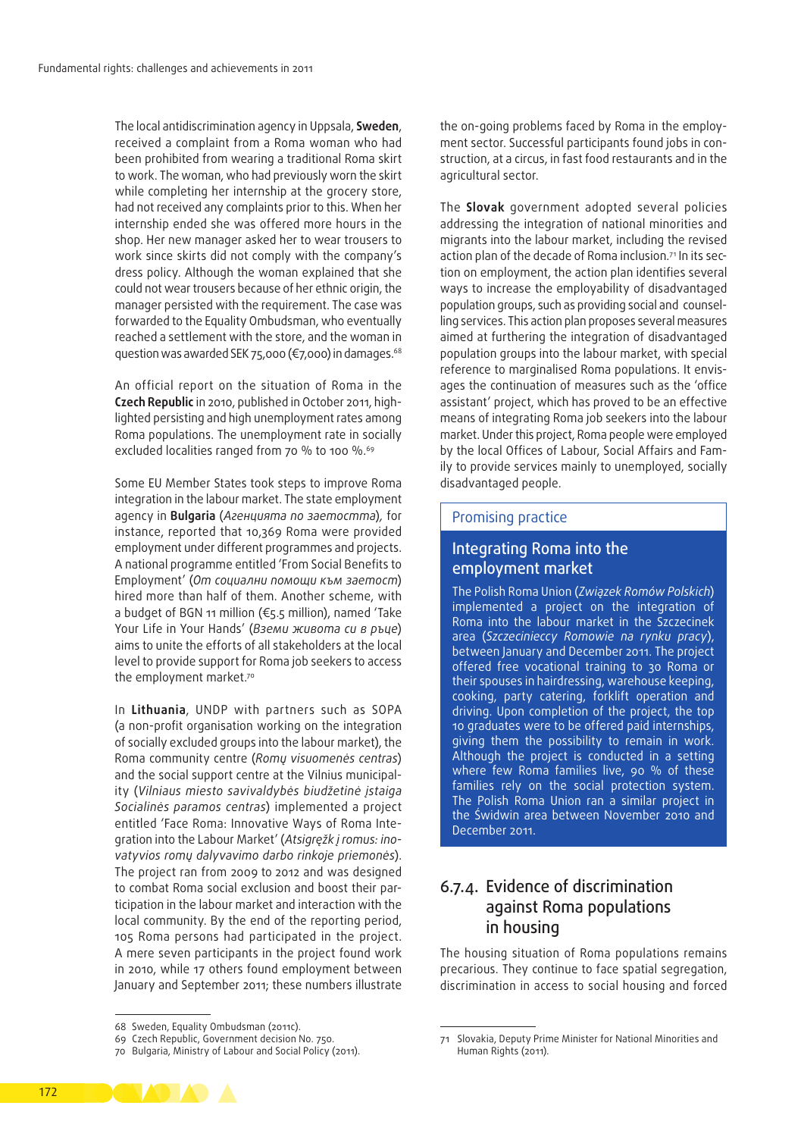The local antidiscrimination agency in Uppsala, **Sweden**, received a complaint from a Roma woman who had been prohibited from wearing a traditional Roma skirt to work. The woman, who had previously worn the skirt while completing her internship at the grocery store, had not received any complaints prior to this. When her internship ended she was offered more hours in the shop. Her new manager asked her to wear trousers to work since skirts did not comply with the company's dress policy. Although the woman explained that she could not wear trousers because of her ethnic origin, the manager persisted with the requirement. The case was forwarded to the Equality Ombudsman, who eventually reached a settlement with the store, and the woman in question was awarded SEK 75,000 (€7,000) in damages.<sup>68</sup>

An official report on the situation of Roma in the **Czech Republic** in 2010, published in October 2011, high‑ lighted persisting and high unemployment rates among Roma populations. The unemployment rate in socially excluded localities ranged from 70 % to 100 %.<sup>69</sup>

Some EU Member States took steps to improve Roma integration in the labour market. The state employment agency in **Bulgaria** (*Агенцията по заетостта*)*,* for instance, reported that 10,369 Roma were provided employment under different programmes and projects. A national programme entitled 'From Social Benefits to Employment' (*От социални помощи към заетост*) hired more than half of them. Another scheme, with a budget of BGN 11 million (€5.5 million), named 'Take Your Life in Your Hands' (*Вземи живота си в ръце*) aims to unite the efforts of all stakeholders at the local level to provide support for Roma job seekers to access the employment market.<sup>70</sup>

In **Lithuania**, UNDP with partners such as SOPA (a non‑profit organisation working on the integration of socially excluded groups into the labour market), the Roma community centre (*Romų visuomenės centras*) and the social support centre at the Vilnius municipality (*Vilniaus miesto savivaldybės biudžetinė įstaiga Socialinės paramos centras*) implemented a project entitled 'Face Roma: Innovative Ways of Roma Integration into the Labour Market' (*Atsigręžk į romus: ino‑ vatyvios romų dalyvavimo darbo rinkoje priemonės*). The project ran from 2009 to 2012 and was designed to combat Roma social exclusion and boost their participation in the labour market and interaction with the local community. By the end of the reporting period, 105 Roma persons had participated in the project. A mere seven participants in the project found work in 2010, while 17 others found employment between January and September 2011; these numbers illustrate

the on-going problems faced by Roma in the employment sector. Successful participants found jobs in construction, at a circus, in fast food restaurants and in the agricultural sector.

The **Slovak** government adopted several policies addressing the integration of national minorities and migrants into the labour market, including the revised action plan of the decade of Roma inclusion*.* 71 In its sec‑ tion on employment, the action plan identifies several ways to increase the employability of disadvantaged population groups, such as providing social and counselling services. This action plan proposes several measures aimed at furthering the integration of disadvantaged population groups into the labour market, with special reference to marginalised Roma populations. It envisages the continuation of measures such as the 'office assistant' project, which has proved to be an effective means of integrating Roma job seekers into the labour market. Under this project, Roma people were employed by the local Offices of Labour, Social Affairs and Family to provide services mainly to unemployed, socially disadvantaged people.

#### Promising practice

### Integrating Roma into the employment market

The Polish Roma Union (*Związek Romów Polskich*) implemented a project on the integration of Roma into the labour market in the Szczecinek area (*Szczecinieccy Romowie na rynku pracy*), between January and December 2011. The project offered free vocational training to 30 Roma or their spouses in hairdressing, warehouse keeping, cooking, party catering, forklift operation and driving. Upon completion of the project, the top 10 graduates were to be offered paid internships, giving them the possibility to remain in work. Although the project is conducted in a setting where few Roma families live, 90 % of these families rely on the social protection system. The Polish Roma Union ran a similar project in the Świdwin area between November 2010 and December 2011.

## 6.7.4. Evidence of discrimination against Roma populations in housing

The housing situation of Roma populations remains precarious. They continue to face spatial segregation, discrimination in access to social housing and forced



<sup>68</sup> Sweden, Equality Ombudsman (2011c).

<sup>69</sup> Czech Republic, Government decision No. 750.

<sup>70</sup> Bulgaria, Ministry of Labour and Social Policy (2011).

Slovakia, Deputy Prime Minister for National Minorities and Human Rights (2011)*.*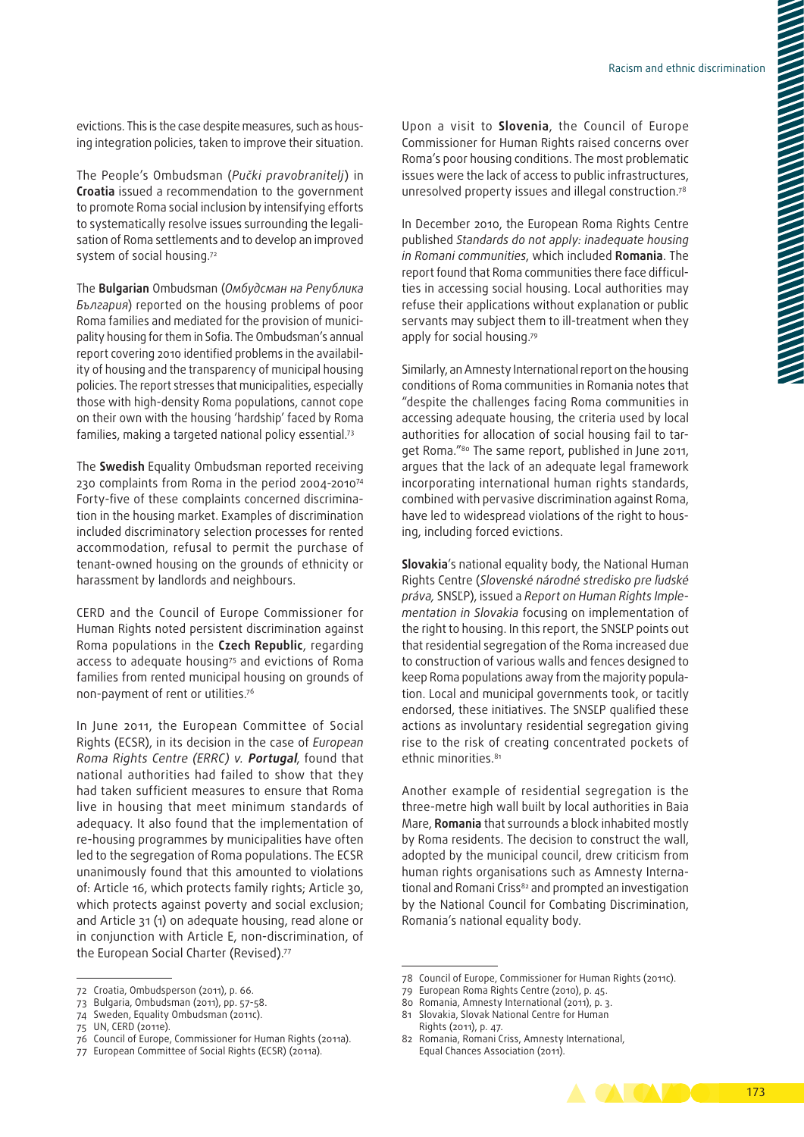evictions. This is the case despite measures, such as housing integration policies, taken to improve their situation.

The People's Ombudsman (*Pučki pravobranitelj*) in **Croatia** issued a recommendation to the government to promote Roma social inclusion by intensifying efforts to systematically resolve issues surrounding the legalisation of Roma settlements and to develop an improved system of social housing.72

The **Bulgarian** Ombudsman (*Омбудсман на Република България*) reported on the housing problems of poor Roma families and mediated for the provision of municipality housing for them in Sofia. The Ombudsman's annual report covering 2010 identified problems in the availability of housing and the transparency of municipal housing policies. The report stresses that municipalities, especially those with high‑density Roma populations, cannot cope on their own with the housing 'hardship' faced by Roma families, making a targeted national policy essential.73

The **Swedish** Equality Ombudsman reported receiving 230 complaints from Roma in the period 2004-201074 Forty-five of these complaints concerned discrimination in the housing market. Examples of discrimination included discriminatory selection processes for rented accommodation, refusal to permit the purchase of tenant‑owned housing on the grounds of ethnicity or harassment by landlords and neighbours.

CERD and the Council of Europe Commissioner for Human Rights noted persistent discrimination against Roma populations in the **Czech Republic**, regarding access to adequate housing<sup>75</sup> and evictions of Roma families from rented municipal housing on grounds of non‑payment of rent or utilities.76

In June 2011, the European Committee of Social Rights (ECSR), in its [decision](http://www.coe.int/T/DGHL/Monitoring/SocialCharter/Complaints/CC61Merits_en.pdf) in the case of *European Roma Rights Centre (ERRC) v.* **Portugal**, found that national authorities had failed to show that they had taken sufficient measures to ensure that Roma live in housing that meet minimum standards of adequacy. It also found that the implementation of re‑housing programmes by municipalities have often led to the segregation of Roma populations. The ECSR unanimously found that this amounted to violations of: Article 16, which protects family rights; Article 30, which protects against poverty and social exclusion; and Article 31 (1) on adequate housing, read alone or in conjunction with Article E, non-discrimination, of the European Social Charter (Revised).<sup>77</sup>

Upon a visit to **Slovenia**, the Council of Europe Commissioner for Human Rights raised concerns over Roma's poor housing conditions. The most problematic issues were the lack of access to public infrastructures, unresolved property issues and illegal construction.78

In December 2010, the European Roma Rights Centre published *Standards do not apply: inadequate housing in Romani communities*, which included **Romania**. The report found that Roma communities there face difficulties in accessing social housing. Local authorities may refuse their applications without explanation or public servants may subject them to ill-treatment when they apply for social housing.79

Similarly, an Amnesty International report on the housing conditions of Roma communities in Romania notes that "despite the challenges facing Roma communities in accessing adequate housing, the criteria used by local authorities for allocation of social housing fail to target Roma."80 The same report, published in June 2011, argues that the lack of an adequate legal framework incorporating international human rights standards, combined with pervasive discrimination against Roma, have led to widespread violations of the right to housing, including forced evictions.

**Slovakia**'s national equality body, the National Human Rights Centre (*Slovenské národné stredisko pre ľudské práva,* SNSĽP), issued a *Report on Human Rights Imple‑ mentation in Slovakia* focusing on implementation of the right to housing. In this report, the SNSĽP points out that residential segregation of the Roma increased due to construction of various walls and fences designed to keep Roma populations away from the majority popula‑ tion. Local and municipal governments took, or tacitly endorsed, these initiatives. The SNSĽP qualified these actions as involuntary residential segregation giving rise to the risk of creating concentrated pockets of ethnic minorities.<sup>81</sup>

Another example of residential segregation is the three‑metre high wall built by local authorities in Baia Mare, **Romania** that surrounds a block inhabited mostly by Roma residents. The decision to construct the wall, adopted by the municipal council, drew criticism from human rights organisations such as Amnesty International and Romani Criss<sup>82</sup> and prompted an investigation by the National Council for Combating Discrimination, Romania's national equality body.

- 80 Romania, Amnesty International (2011), p. 3.
- 81 Slovakia, Slovak National Centre for Human Rights (2011), p. 47.

<sup>82</sup> Romania, Romani Criss, Amnesty International, Equal Chances Association (2011).



<sup>72</sup> Croatia, Ombudsperson (2011), p. 66.

<sup>73</sup> Bulgaria, Ombudsman (2011), pp. 57-58.

<sup>74</sup> Sweden, Equality Ombudsman (2011c).

<sup>75</sup> UN, CERD (2011e).

<sup>76</sup> Council of Europe, Commissioner for Human Rights (2011a).

<sup>77</sup> European Committee of Social Rights (ECSR) (2011a).

<sup>78</sup> Council of Europe, Commissioner for Human Rights (2011c).

<sup>79</sup> European Roma Rights Centre (2010), p. 45.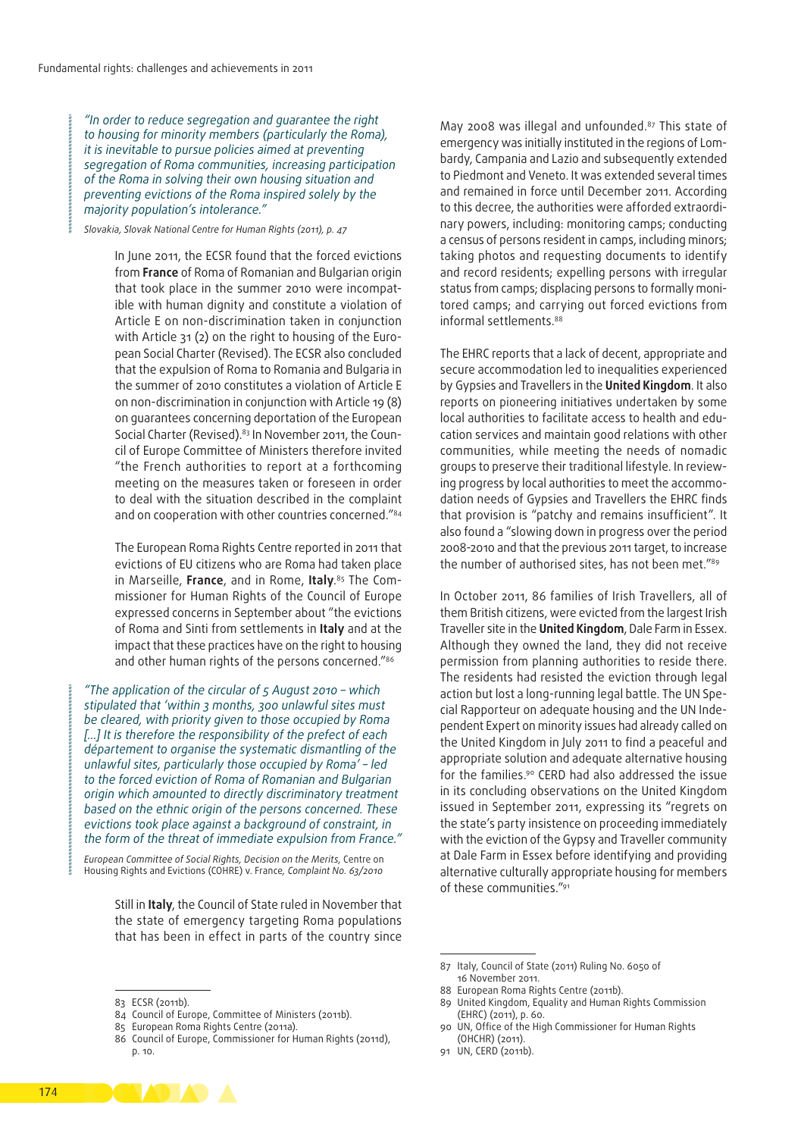*"In order to reduce segregation and guarantee the right to housing for minority members (particularly the Roma), it is inevitable to pursue policies aimed at preventing segregation of Roma communities, increasing participation of the Roma in solving their own housing situation and preventing evictions of the Roma inspired solely by the majority population's intolerance."*

*Slovakia, Slovak National Centre for Human Rights (2011), p. 47*

In June 2011, the ECSR found that the forced evictions from **France** of Roma of Romanian and Bulgarian origin that took place in the summer 2010 were incompatible with human dignity and constitute a violation of Article E on non‑discrimination taken in conjunction with Article 31 (2) on the right to housing of the European Social Charter (Revised). The ECSR also concluded that the expulsion of Roma to Romania and Bulgaria in the summer of 2010 constitutes a violation of Article E on non‑discrimination in conjunction with Article 19 (8) on guarantees concerning deportation of the European Social Charter (Revised).<sup>83</sup> In November 2011, the Council of Europe Committee of Ministers therefore invited "the French authorities to report at a forthcoming meeting on the measures taken or foreseen in order to deal with the situation described in the complaint and on cooperation with other countries concerned."<sup>84</sup>

The European Roma Rights Centre reported in 2011 that evictions of EU citizens who are Roma had taken place in Marseille, **France**, and in Rome, **Italy**. 85 The Com‑ missioner for Human Rights of the Council of Europe expressed concerns in September about "the evictions of Roma and Sinti from settlements in **Italy** and at the impact that these practices have on the right to housing and other human rights of the persons concerned."<sup>86</sup>

*"The application of the circular of 5 August 2010 – which stipulated that 'within 3 months, 300 unlawful sites must be cleared, with priority given to those occupied by Roma […] It is therefore the responsibility of the prefect of each département to organise the systematic dismantling of the unlawful sites, particularly those occupied by Roma' – led to the forced eviction of Roma of Romanian and Bulgarian origin which amounted to directly discriminatory treatment based on the ethnic origin of the persons concerned. These evictions took place against a background of constraint, in the form of the threat of immediate expulsion from France."*

*European Committee of Social Rights, Decision on the Merits,* Centre on Housing Rights and Evictions (COHRE) v. France*, Complaint No. 63/2010*

Still in **Italy**, the Council of State ruled in November that the state of emergency targeting Roma populations that has been in effect in parts of the country since

May 2008 was illegal and unfounded.87 This state of emergency was initially instituted in the regions of Lombardy, Campania and Lazio and subsequently extended to Piedmont and Veneto. It was extended several times and remained in force until December 2011. According to this decree, the authorities were afforded extraordinary powers, including: monitoring camps; conducting a census of persons resident in camps, including minors; taking photos and requesting documents to identify and record residents; expelling persons with irregular status from camps; displacing persons to formally monitored camps; and carrying out forced evictions from informal settlements.88

The EHRC reports that a lack of decent, appropriate and secure accommodation led to inequalities experienced by Gypsies and Travellers in the **United Kingdom**. It also reports on pioneering initiatives undertaken by some local authorities to facilitate access to health and education services and maintain good relations with other communities, while meeting the needs of nomadic groups to preserve their traditional lifestyle. In reviewing progress by local authorities to meet the accommodation needs of Gypsies and Travellers the EHRC finds that provision is "patchy and remains insufficient". It also found a "slowing down in progress over the period 2008-2010 and that the previous 2011 target, to increase the number of authorised sites, has not been met."89

In October 2011, 86 families of Irish Travellers, all of them British citizens, were evicted from the largest Irish Traveller site in the **United Kingdom**, Dale Farm in Essex. Although they owned the land, they did not receive permission from planning authorities to reside there. The residents had resisted the eviction through legal action but lost a long-running legal battle. The UN Special Rapporteur on adequate housing and the UN Independent Expert on minority issues had already called on the United Kingdom in July 2011 to find a peaceful and appropriate solution and adequate alternative housing for the families.90 CERD had also addressed the issue in its concluding observations on the United Kingdom issued in September 2011, expressing its "regrets on the state's party insistence on proceeding immediately with the eviction of the Gypsy and Traveller community at Dale Farm in Essex before identifying and providing alternative culturally appropriate housing for members of these communities."91

- 89 United Kingdom, Equality and Human Rights Commission (EHRC) (2011), p. 60.
- 90 UN, Office of the High Commissioner for Human Rights (OHCHR) (2011).
- 91 UN, CERD (2011b).



<sup>83</sup> ECSR (2011b).

<sup>84</sup> Council of Europe, Committee of Ministers (2011b).

<sup>85</sup> European Roma Rights Centre (2011a).

<sup>86</sup> Council of Europe, Commissioner for Human Rights (2011d), p. 10.

<sup>87</sup> Italy, Council of State (2011) Ruling No. 6050 of 16 November 2011.

<sup>88</sup> European Roma Rights Centre (2011b).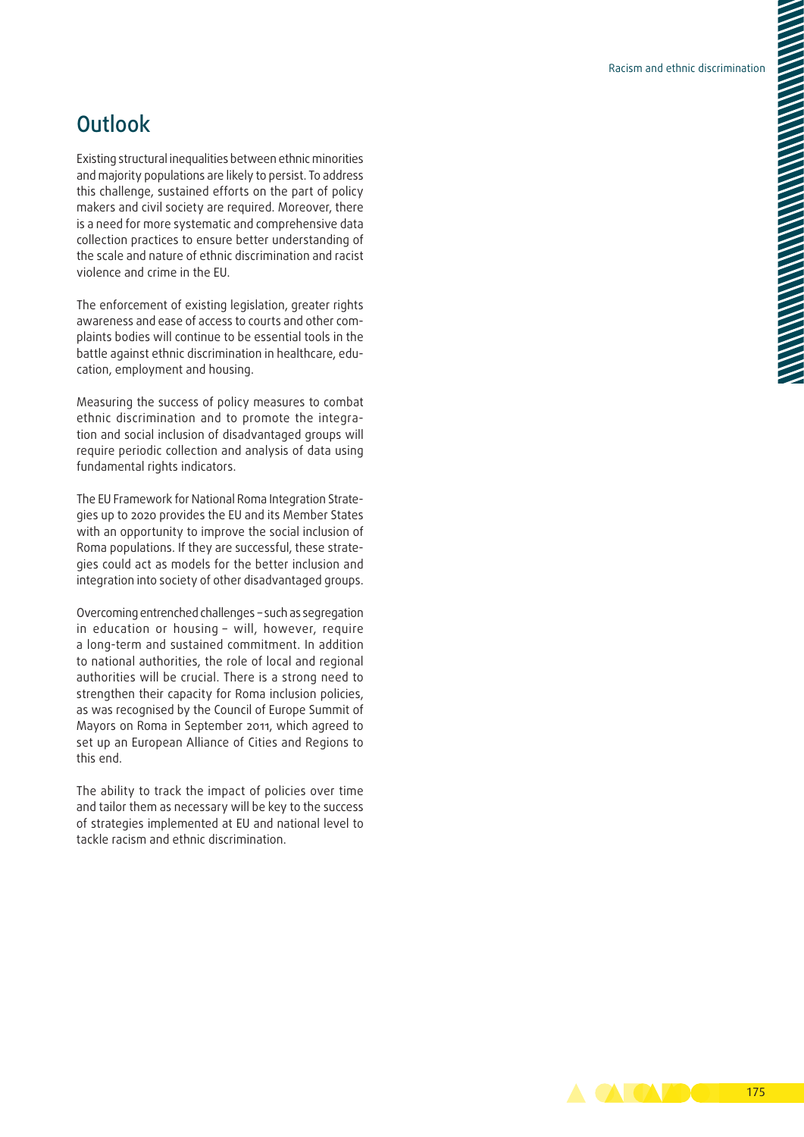## **Outlook**

Existing structural inequalities between ethnic minorities and majority populations are likely to persist. To address this challenge, sustained efforts on the part of policy makers and civil society are required. Moreover, there is a need for more systematic and comprehensive data collection practices to ensure better understanding of the scale and nature of ethnic discrimination and racist violence and crime in the EU.

The enforcement of existing legislation, greater rights awareness and ease of access to courts and other complaints bodies will continue to be essential tools in the battle against ethnic discrimination in healthcare, education, employment and housing.

Measuring the success of policy measures to combat ethnic discrimination and to promote the integration and social inclusion of disadvantaged groups will require periodic collection and analysis of data using fundamental rights indicators.

The EU Framework for National Roma Integration Strategies up to 2020 provides the EU and its Member States with an opportunity to improve the social inclusion of Roma populations. If they are successful, these strate‑ gies could act as models for the better inclusion and integration into society of other disadvantaged groups.

Overcoming entrenched challenges – such as segregation in education or housing – will, however, require a long-term and sustained commitment. In addition to national authorities, the role of local and regional authorities will be crucial. There is a strong need to strengthen their capacity for Roma inclusion policies, as was recognised by the Council of Europe Summit of Mayors on Roma in September 2011, which agreed to set up an European Alliance of Cities and Regions to this end.

The ability to track the impact of policies over time and tailor them as necessary will be key to the success of strategies implemented at EU and national level to tackle racism and ethnic discrimination.

> **ACABO** 175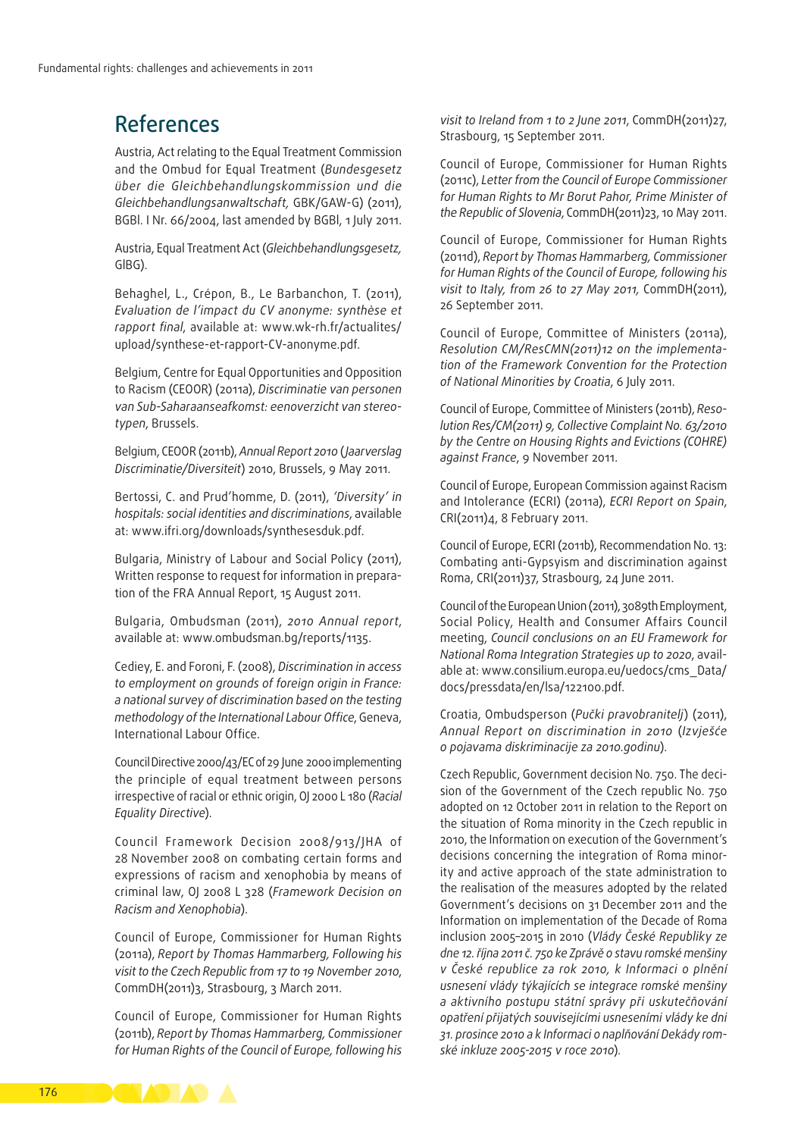## References

Austria, Act relating to the Equal Treatment Commission and the Ombud for Equal Treatment (*Bundesgesetz über die Gleichbehandlungskommission und die Gleichbehandlungsanwaltschaft,* GBK/GAW‑G) (2011), BGBl. I Nr. 66/2004, last amended by BGBl, 1 July 2011.

Austria, Equal Treatment Act (*Gleichbehandlungsgesetz,*  GlBG).

Behaghel, L., Crépon, B., Le Barbanchon, T. (2011), *Evaluation de l'impact du CV anonyme: synthèse et rapport final*, available at: [www.wk‑rh.fr/actualites/](http://www.wk-rh.fr/actualites/upload/synthese-et-rapport-CV-anonyme.pdf) upload/synthese-et-rapport-CV-anonyme.pdf.

Belgium, Centre for Equal Opportunities and Opposition to Racism (CEOOR) (2011a), *Discriminatie van personen van Sub‑Saharaanseafkomst: eenoverzicht van stereo‑ typen*, Brussels.

Belgium, CEOOR (2011b), *Annual Report 2010* (*Jaarverslag Discriminatie/Diversiteit*) 2010, Brussels, 9 May 2011.

Bertossi, C. and Prud'homme, D. (2011), *'Diversity' in hospitals: social identities and discriminations*, available at: [www.ifri.org/downloads/synthesesduk.pdf.](http://www.ifri.org/downloads/synthesesduk.pdf)

Bulgaria, Ministry of Labour and Social Policy (2011), Written response to request for information in preparation of the FRA Annual Report, 15 August 2011.

Bulgaria, Ombudsman (2011), *2010 Annual report*, available at: [www.ombudsman.bg/reports/1135](http://www.ombudsman.bg/reports/1135).

Cediey, E. and Foroni, F. (2008), *Discrimination in access to employment on grounds of foreign origin in France: a national survey of discrimination based on the testing methodology of the International Labour Office*, Geneva, International Labour Office.

Council Directive 2000/43/EC of 29 June 2000 implementing the principle of equal treatment between persons irrespective of racial or ethnic origin, OJ 2000 L 180 (*Racial Equality Directive*).

Council Framework Decision 2008/913/JHA of 28 November 2008 on combating certain forms and expressions of racism and xenophobia by means of criminal law, OJ 2008 L 328 (*Framework Decision on Racism and Xenophobia*).

Council of Europe, Commissioner for Human Rights (2011a), *Report by Thomas Hammarberg, Following his visit to the Czech Republic from 17 to 19 November 2010*, CommDH(2011)3, Strasbourg, 3 March 2011.

Council of Europe, Commissioner for Human Rights (2011b), *Report by Thomas Hammarberg, Commissioner for Human Rights of the Council of Europe, following his*  *visit to Ireland from 1 to 2 June 2011*, CommDH(2011)27, Strasbourg, 15 September 2011.

Council of Europe, Commissioner for Human Rights (2011c), *Letter from the Council of Europe Commissioner for Human Rights to Mr Borut Pahor, Prime Minister of the Republic of Slovenia*, CommDH(2011)23, 10 May 2011.

Council of Europe, Commissioner for Human Rights (2011d), *Report by Thomas Hammarberg, Commissioner for Human Rights of the Council of Europe, following his visit to Italy, from 26 to 27 May 2011,* CommDH(2011), 26 September 2011.

Council of Europe, Committee of Ministers (2011a), *Resolution CM/ResCMN(2011)12 on the implementa‑ tion of the Framework Convention for the Protection of National Minorities by Croatia*, 6 July 2011.

Council of Europe, Committee of Ministers (2011b), *[Reso‑](https://wcd.coe.int/ViewDoc.jsp?Ref=CM/ResChS(2011)9&Language=lanEnglish&Ver=original&BackColorInternet=C3C3C3&BackColorIntranet=EDB021&BackColorLogged=F5D383) [lution Res/CM\(2011\) 9,](https://wcd.coe.int/ViewDoc.jsp?Ref=CM/ResChS(2011)9&Language=lanEnglish&Ver=original&BackColorInternet=C3C3C3&BackColorIntranet=EDB021&BackColorLogged=F5D383) Collective Complaint No. 63/2010 by the Centre on Housing Rights and Evictions (COHRE) against France*, 9 November 2011.

Council of Europe, European Commission against Racism and Intolerance (ECRI) (2011a), *ECRI Report on Spain*, CRI(2011)4, 8 February 2011.

Council of Europe, ECRI (2011b), Recommendation No. 13: Combating anti‑Gypsyism and discrimination against Roma, CRI(2011)37, Strasbourg, 24 June 2011.

Council of the European Union (2011), 3089th Employment, Social Policy, Health and Consumer Affairs Council meeting, *Council conclusions on an EU Framework for National Roma Integration Strategies up to 2020*, avail‑ able at: [www.consilium.europa.eu/uedocs/cms\\_Data/](http://www.consilium.europa.eu/uedocs/cms_Data/docs/pressdata/en/lsa/122100.pdf) [docs/pressdata/en/lsa/122100.pdf.](http://www.consilium.europa.eu/uedocs/cms_Data/docs/pressdata/en/lsa/122100.pdf)

Croatia, Ombudsperson (*Pučki pravobranitelj*) (2011), *Annual Report on discrimination in 2010* (*Izvješće o pojavama diskriminacije za 2010.godinu*).

Czech Republic, Government decision No. 750. The decision of the Government of the Czech republic No. 750 adopted on 12 October 2011 in relation to the Report on the situation of Roma minority in the Czech republic in 2010, the Information on execution of the Government's decisions concerning the integration of Roma minority and active approach of the state administration to the realisation of the measures adopted by the related Government's decisions on 31 December 2011 and the Information on implementation of the Decade of Roma inclusion 2005–2015 in 2010 (*Vlády České Republiky ze dne 12. října 2011 č. 750 ke Zprávě o stavu romské menšiny v České republice za rok 2010, k Informaci o plnění usnesení vlády týkajících se integrace romské menšiny a aktivního postupu státní správy při uskutečňování opatření přijatých souvisejícími usneseními vlády ke dni 31. prosince 2010 a k Informaci o naplňování Dekády rom‑ ské inkluze 2005-2015 v roce 2010*)*.*

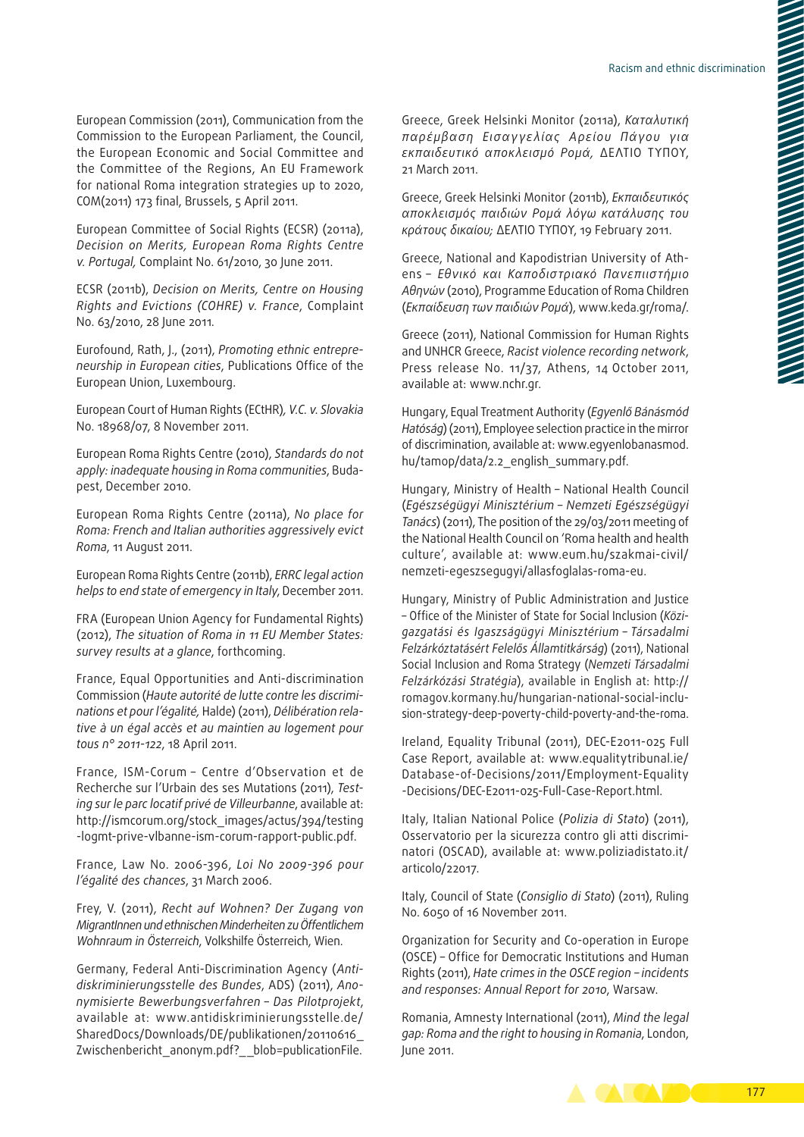European Commission (2011), Communication from the Commission to the European Parliament, the Council, the European Economic and Social Committee and the Committee of the Regions, An EU Framework for national Roma integration strategies up to 2020, COM(2011) 173 final, Brussels, 5 April 2011.

European Committee of Social Rights (ECSR) (2011a), *Decision on Merits, European Roma Rights Centre v. Portugal,* Complaint No. 61/2010, 30 June 2011.

ECSR (2011b), *Decision on Merits, Centre on Housing Rights and Evictions (COHRE) v. France*, Complaint No. 63/2010, 28 June 2011*.*

Eurofound, Rath, J., (2011), *Promoting ethnic entrepre‑ neurship in European cities*, Publications Office of the European Union, Luxembourg.

European Court of Human Rights (ECtHR)*, V.C. v. Slovakia* No. 18968/07, 8 November 2011.

European Roma Rights Centre (2010), *Standards do not apply: inadequate housing in Roma communities*, Buda‑ pest, December 2010.

European Roma Rights Centre (2011a), *No place for Roma: French and Italian authorities aggressively evict Roma*, 11 August 2011.

European Roma Rights Centre (2011b), *ERRC legal action helps to end state of emergency in Italy*, December 2011.

FRA (European Union Agency for Fundamental Rights) (2012), *The situation of Roma in 11 EU Member States: survey results at a glance*, forthcoming.

France, Equal Opportunities and Anti-discrimination Commission (*Haute autorité de lutte contre les discrimi‑ nations et pour l'égalité,* Halde) (2011), *Délibération rela‑ tive à un égal accès et au maintien au logement pour tous n° 2011-122*, 18 April 2011.

France, ISM‑Corum – Centre d'Observation et de Recherche sur l'Urbain des ses Mutations (2011), *Test‑ ing sur le parc locatif privé de Villeurbanne*, available at: [http://ismcorum.org/stock\\_images/actus/394/testing](http://ismcorum.org/stock_images/actus/394/testing-logmt-prive-vlbanne-ism-corum-rapport-public.pdf) [‑logmt‑prive‑vlbanne‑ism‑corum‑rapport‑public.pdf](http://ismcorum.org/stock_images/actus/394/testing-logmt-prive-vlbanne-ism-corum-rapport-public.pdf).

France, Law No. 2006-396, *Loi No 2009-396 pour l'égalité des chances*, 31 March 2006.

Frey, V. (2011), *Recht auf Wohnen? Der Zugang von MigrantInnen und ethnischen Minderheiten zu Öffentlichem Wohnraum in Österreich*, Volkshilfe Österreich, Wien.

Germany, Federal Anti‑Discrimination Agency (*Anti‑ diskriminierungsstelle des Bundes*, ADS) (2011), *Ano‑ nymisierte Bewerbungsverfahren – Das Pilotprojekt*, available at: [www.antidiskriminierungsstelle.de/](http://www.antidiskriminierungsstelle.de/SharedDocs/Downloads/DE/publikationen/20110616_Zwischenbericht_anonym.pdf?__blob=publicationFile) [SharedDocs/Downloads/DE/publikationen/20110616\\_](http://www.antidiskriminierungsstelle.de/SharedDocs/Downloads/DE/publikationen/20110616_Zwischenbericht_anonym.pdf?__blob=publicationFile) [Zwischenbericht\\_anonym.pdf?\\_\\_blob=publicationFile.](http://www.antidiskriminierungsstelle.de/SharedDocs/Downloads/DE/publikationen/20110616_Zwischenbericht_anonym.pdf?__blob=publicationFile) Greece, Greek Helsinki Monitor (2011a), *Καταλυτική παρέμβαση Εισαγγελίας Αρείου Πάγου για εκπαιδευτικό αποκλεισμό Ρομά,* ΔΕΛΤΙΟ ΤΥΠΟΥ, 21 Μarch 2011.

Greece, Greek Helsinki Monitor (2011b), *Εκπαιδευτικός αποκλεισμός παιδιών Ρομά λόγω κατάλυσης του κράτους δικαίου;* ΔΕΛΤΙΟ ΤΥΠΟΥ, 19 February 2011.

Greece, National and Kapodistrian University of Athens – *Εθνικό και Καποδιστριακό Πανεπιιστήμιο Αθηνών* (2010), Programme Education of Roma Children (*Εκπαίδευση των παιδιών Ρομά*), [www.keda.gr/roma/](http://www.keda.gr/roma/).

Greece (2011), National Commission for Human Rights and UNHCR Greece, *Racist violence recording network*, Press release No. 11/37, Athens, 14 October 2011, available at: www.nchr.gr.

Hungary, Equal Treatment Authority (*Egyenlő Bánásmód Hatóság*) (2011), Employee selection practice in the mirror of discrimination, available at: [www.egyenlobanasmod.](http://www.egyenlobanasmod.hu/tamop/data/2.2_english_summary.pdf) [hu/tamop/data/2.2\\_english\\_summary.pdf.](http://www.egyenlobanasmod.hu/tamop/data/2.2_english_summary.pdf)

Hungary, Ministry of Health – National Health Council (*Egészségügyi Minisztérium – Nemzeti Egészségügyi Tanács*) (2011), The position of the 29/03/2011 meeting of the National Health Council on 'Roma health and health culture', available at: www.eum.hu/szakmai-civil/ [nemzeti‑egeszsegugyi/allasfoglalas‑roma‑eu.](http://www.eum.hu/szakmai-civil/nemzeti-egeszsegugyi/allasfoglalas-roma-eu)

Hungary, Ministry of Public Administration and Justice – Office of the Minister of State for Social Inclusion (*Közi‑ gazgatási és Igaszságügyi Minisztérium – Társadalmi Felzárkóztatásért Felelős Államtitkárság*) (2011), National Social Inclusion and Roma Strategy (*Nemzeti Társadalmi Felzárkózási Stratégia*), available in English at: [http://](http://romagov.kormany.hu/hungarian-national-social-inclusion-strategy-deep-poverty-child-poverty-and-the-roma) [romagov.kormany.hu/hungarian‑national‑social‑inclu‑](http://romagov.kormany.hu/hungarian-national-social-inclusion-strategy-deep-poverty-child-poverty-and-the-roma) sion-strategy-deep-poverty-child-poverty-and-the-roma.

Ireland, Equality Tribunal (2011), DEC‑E2011-025 Full Case Report, available at: [www.equalitytribunal.ie/](http://www.equalitytribunal.ie/Database-of-Decisions/2011/Employment-Equality-Decisions/DEC-E2011-025-Full-Case-Report.html) [Database‑of‑Decisions/2011/Employment‑Equality](http://www.equalitytribunal.ie/Database-of-Decisions/2011/Employment-Equality-Decisions/DEC-E2011-025-Full-Case-Report.html) [‑Decisions/DEC‑E2011-025-Full‑Case‑Report.html.](http://www.equalitytribunal.ie/Database-of-Decisions/2011/Employment-Equality-Decisions/DEC-E2011-025-Full-Case-Report.html)

Italy, Italian National Police (*Polizia di Stato*) (2011), Osservatorio per la sicurezza contro gli atti discriminatori (OSCAD), available at: [www.poliziadistato.it/](http://www.poliziadistato.it/articolo/22017) [articolo/22017.](http://www.poliziadistato.it/articolo/22017)

Italy, Council of State (*Consiglio di Stato*) (2011), Ruling No. 6050 of 16 November 2011.

Organization for Security and Co‑operation in Europe (OSCE) – Office for Democratic Institutions and Human Rights (2011), *Hate crimes in the OSCE region – incidents and responses: Annual Report for 2010*, Warsaw.

Romania, Amnesty International (2011), *Mind the legal gap: Roma and the right to housing in Romania*, London, June 2011.

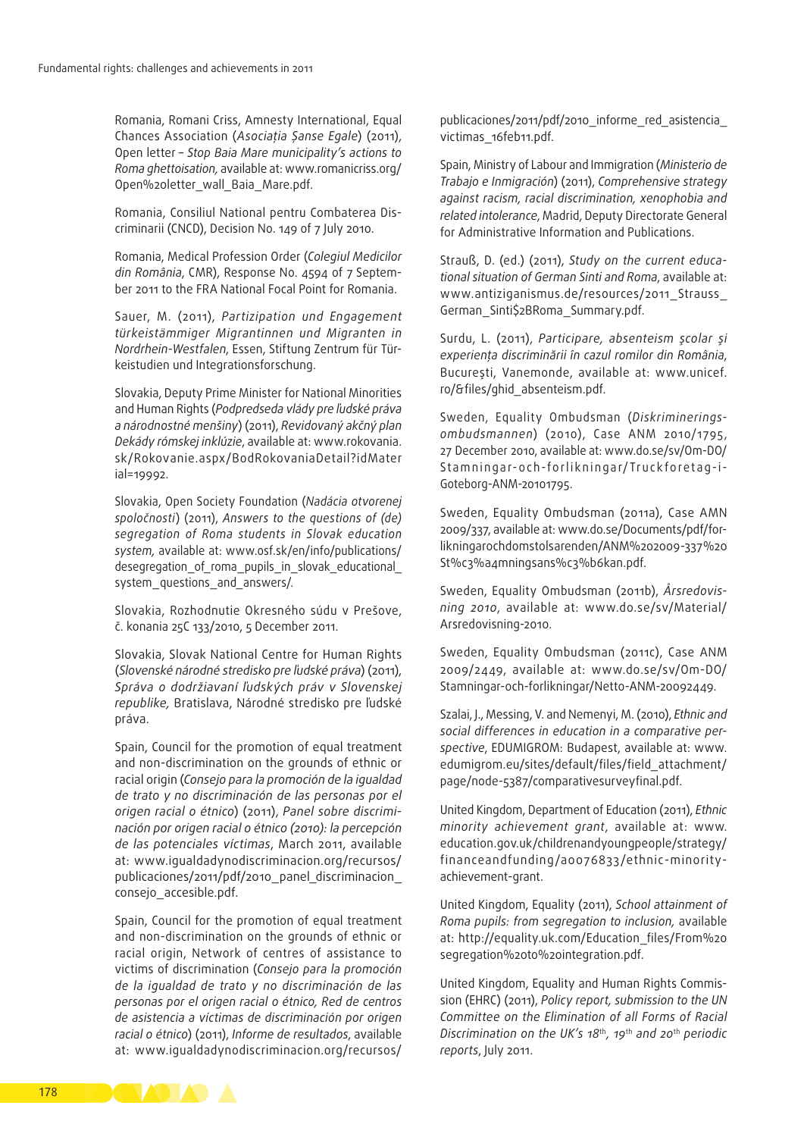Romania, Romani Criss, Amnesty International, Equal Chances Association (*Asociaţia Șanse Egale*) (2011), Open letter – *Stop Baia Mare municipality's actions to Roma ghettoisation,* available at: [www.romanicriss.org/](http://www.romanicriss.org/Open letter_wall_Baia_Mare.pdf) [Open%20letter\\_wall\\_Baia\\_Mare.pdf.](http://www.romanicriss.org/Open letter_wall_Baia_Mare.pdf)

Romania, Consiliul National pentru Combaterea Dis‑ criminarii (CNCD), Decision No. 149 of 7 July 2010.

Romania, Medical Profession Order (*Colegiul Medicilor*  din România, CMR), Response No. 4594 of 7 September 2011 to the FRA National Focal Point for Romania.

Sauer, M. (2011), *Partizipation und Engagement türkeistämmiger Migrantinnen und Migranten in Nordrhein‑Westfalen*, Essen, Stiftung Zentrum für Tür‑ keistudien und Integrationsforschung.

Slovakia, Deputy Prime Minister for National Minorities and Human Rights (*Podpredseda vlády pre ľudské práva a národnostné menšiny*) (2011), *Revidovaný akčný plan Dekády rómskej inklúzie*, available at: [www.rokovania.](http://www.rokovania.sk/Rokovanie.aspx/BodRokovaniaDetail?idMaterial=19992) [sk/Rokovanie.aspx/BodRokovaniaDetail?idMater](http://www.rokovania.sk/Rokovanie.aspx/BodRokovaniaDetail?idMaterial=19992) [ial=19992.](http://www.rokovania.sk/Rokovanie.aspx/BodRokovaniaDetail?idMaterial=19992)

Slovakia, Open Society Foundation (*Nadácia otvorenej spoločnosti*) (2011), *Answers to the questions of (de) segregation of Roma students in Slovak education system,* available at: [www.osf.sk/en/info/publications/](http://www.osf.sk/en/info/publications/desegregation_of_roma_pupils_in_slovak_educational_system_questions_and_answers/) desegregation of roma pupils in slovak educational [system\\_questions\\_and\\_answers/.](http://www.osf.sk/en/info/publications/desegregation_of_roma_pupils_in_slovak_educational_system_questions_and_answers/)

Slovakia, Rozhodnutie Okresného súdu v Prešove, č. konania 25C 133/2010, 5 December 2011.

Slovakia, Slovak National Centre for Human Rights (*Slovenské národné stredisko pre ľudské práva*) (2011), *Správa o dodržiavaní ľudských práv v Slovenskej republike,* Bratislava, Národné stredisko pre ľudské práva.

Spain, Council for the promotion of equal treatment and non‑discrimination on the grounds of ethnic or racial origin (*Consejo para la promoción de la igualdad de trato y no discriminación de las personas por el origen racial o étnico*) (2011), *Panel sobre discrimi‑ nación por origen racial o étnico (2010): la percepción de las potenciales víctimas*, March 2011, available at: [www.igualdadynodiscriminacion.org/recursos/](http://www.igualdadynodiscriminacion.org/recursos/publicaciones/2011/pdf/2010_panel_discriminacion_consejo_accesible.pdf) [publicaciones/2011/pdf/2010\\_panel\\_discriminacion\\_](http://www.igualdadynodiscriminacion.org/recursos/publicaciones/2011/pdf/2010_panel_discriminacion_consejo_accesible.pdf) [consejo\\_accesible.pdf](http://www.igualdadynodiscriminacion.org/recursos/publicaciones/2011/pdf/2010_panel_discriminacion_consejo_accesible.pdf).

Spain, Council for the promotion of equal treatment and non‑discrimination on the grounds of ethnic or racial origin, Network of centres of assistance to victims of discrimination (*Consejo para la promoción de la igualdad de trato y no discriminación de las personas por el origen racial o étnico, Red de centros de asistencia a víctimas de discriminación por origen racial o étnico*) (2011), *Informe de resultados*, available at: [www.igualdadynodiscriminacion.org/recursos/](http://www.igualdadynodiscriminacion.org/recursos/publicaciones/2011/pdf/2010_informe_red_asistencia_victimas_16feb11.pdf)

publicaciones/2011/pdf/2010\_informe\_red\_asistencia [victimas\\_16feb11.pdf](http://www.igualdadynodiscriminacion.org/recursos/publicaciones/2011/pdf/2010_informe_red_asistencia_victimas_16feb11.pdf).

Spain, Ministry of Labour and Immigration (*Ministerio de Trabajo e Inmigración*) (2011), *Comprehensive strategy against racism, racial discrimination, xenophobia and related intolerance*, Madrid, Deputy Directorate General for Administrative Information and Publications.

Strauß, D. (ed.) (2011), *Study on the current educa‑ tional situation of German Sinti and Roma*, available at: [www.antiziganismus.de/resources/2011\\_Strauss\\_](http://www.antiziganismus.de/resources/2011_Strauss_German_Sinti$2BRoma_Summary.pdf) [German\\_Sinti\\$2BRoma\\_Summary.pdf.](http://www.antiziganismus.de/resources/2011_Strauss_German_Sinti$2BRoma_Summary.pdf)

Surdu, L. (2011), *Participare, absenteism şcolar şi experienţa discriminării în cazul romilor din România*, Bucureşti, Vanemonde, available at: [www.unicef.](http://www.unicef.ro/&files/ghid_absenteism.pdf) [ro/&files/ghid\\_absenteism.pdf.](http://www.unicef.ro/&files/ghid_absenteism.pdf)

Sweden, Equality Ombudsman (*Diskriminerings‑ ombudsmannen*) (2010), Case ANM 2010/1795, 27 December 2010, available at: [www.do.se/sv/Om-DO/](http://www.do.se/sv/Om-DO/Stamningar-och-forlikningar/Truckforetag-i-Goteborg-ANM-20101795) Stamningar-och-[forlikningar/Truckforetag-](http://www.do.se/sv/Om-DO/Stamningar-och-forlikningar/Truckforetag-i-Goteborg-ANM-20101795)i-[Goteborg-ANM-20101795.](http://www.do.se/sv/Om-DO/Stamningar-och-forlikningar/Truckforetag-i-Goteborg-ANM-20101795)

Sweden, Equality Ombudsman (2011a), Case AMN 2009/337, available at: [www.do.se/Documents/pdf/for‑](http://www.do.se/Documents/pdf/forlikningarochdomstolsarenden/ANM 2009-337 St%c3%a4mningsans%c3%b6kan.pdf) [likningarochdomstolsarenden/ANM%202009-337%20](http://www.do.se/Documents/pdf/forlikningarochdomstolsarenden/ANM 2009-337 St%c3%a4mningsans%c3%b6kan.pdf) [St%c3%a4mningsans%c3%b6kan.pdf.](http://www.do.se/Documents/pdf/forlikningarochdomstolsarenden/ANM 2009-337 St%c3%a4mningsans%c3%b6kan.pdf)

Sweden, Equality Ombudsman (2011b), *Årsredovis‑ ning 2010*, available at: [www.do.se/sv/Material/](http://www.do.se/sv/Material/Arsredovisning-2010) [Arsredovisning-2010.](http://www.do.se/sv/Material/Arsredovisning-2010)

Sweden, Equality Ombudsman (2011c), Case ANM 2009/2449, available at: [www.do.se/sv/Om‑DO/](http://www.do.se/sv/Om-DO/Stamningar-och-forlikningar/Netto-ANM-20092449) Stamningar-och-forlikningar/Netto-ANM-20092449.

Szalai, J., Messing, V. and Nemenyi, M. (2010), *Ethnic and social differences in education in a comparative per‑ spective*, EDUMIGROM: Budapest, available at: [www.](http://www.edumigrom.eu/sites/default/files/field_attachment/page/node-5387/comparativesurveyfinal.pdf) [edumigrom.eu/sites/default/files/field\\_attachment/](http://www.edumigrom.eu/sites/default/files/field_attachment/page/node-5387/comparativesurveyfinal.pdf) [page/node-5387/comparativesurveyfinal.pdf.](http://www.edumigrom.eu/sites/default/files/field_attachment/page/node-5387/comparativesurveyfinal.pdf)

United Kingdom, Department of Education (2011), *Ethnic minority achievement grant*, available at: [www.](http://www.education.gov.uk/childrenandyoungpeople/strategy/financeandfunding/a0076833/ethnic-minority-achievement-grant) [education.gov.uk/childrenandyoungpeople/strategy/](http://www.education.gov.uk/childrenandyoungpeople/strategy/financeandfunding/a0076833/ethnic-minority-achievement-grant) [financeandfunding/a0076833/ethnic-minority](http://www.education.gov.uk/childrenandyoungpeople/strategy/financeandfunding/a0076833/ethnic-minority-achievement-grant)[achievement-grant.](http://www.education.gov.uk/childrenandyoungpeople/strategy/financeandfunding/a0076833/ethnic-minority-achievement-grant)

United Kingdom, Equality (2011), *School attainment of Roma pupils: from segregation to inclusion,* available at: [http://equality.uk.com/Education\\_files/From%20](http://equality.uk.com/Education_files/From segregation to integration.pdf) [segregation%20to%20integration.pdf.](http://equality.uk.com/Education_files/From segregation to integration.pdf)

United Kingdom, Equality and Human Rights Commis‑ sion (EHRC) (2011), *Policy report, submission to the UN Committee on the Elimination of all Forms of Racial Discrimination on the UK's 18*th*, 19*th *and 20*th *periodic reports*, July 2011.

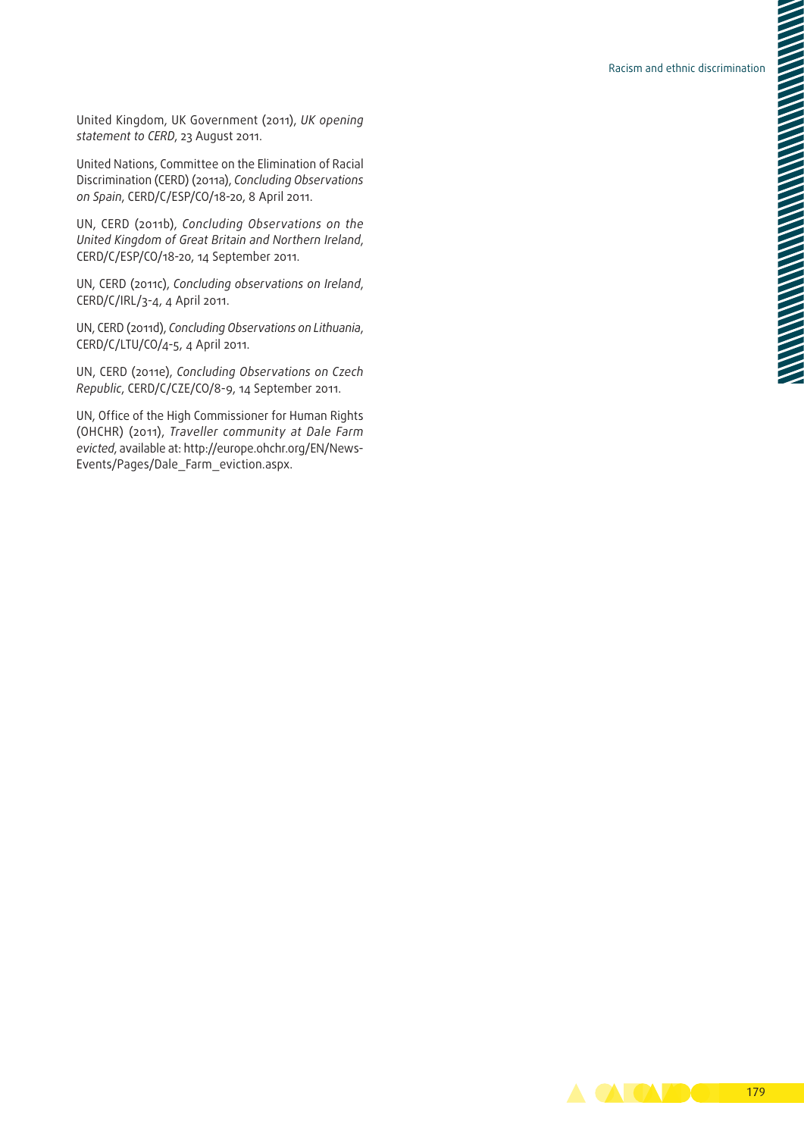United Kingdom, UK Government (2011), *UK opening statement to CERD*, 23 August 2011.

United Nations, Committee on the Elimination of Racial Discrimination (CERD) (2011a), *Concluding Observations on Spain*, CERD/C/ESP/CO/18-20, 8 April 2011.

UN, CERD (2011b), *Concluding Observations on the United Kingdom of Great Britain and Northern Ireland*, CERD/C/ESP/CO/18-20, 14 September 2011.

UN, CERD (2011c), *Concluding observations on Ireland*, CERD/C/IRL/3-4, 4 April 2011.

UN, CERD (2011d), *Concluding Observations on Lithuania*, CERD/C/LTU/CO/4-5, 4 April 2011.

UN, CERD (2011e), *Concluding Observations on Czech Republic*, CERD/C/CZE/CO/8-9, 14 September 2011.

UN, Office of the High Commissioner for Human Rights (OHCHR) (2011), *Traveller community at Dale Farm evicted*, available at: [http://europe.ohchr.org/EN/News‑](http://europe.ohchr.org/EN/NewsEvents/Pages/Dale_Farm_eviction.aspx) [Events/Pages/Dale\\_Farm\\_eviction.aspx.](http://europe.ohchr.org/EN/NewsEvents/Pages/Dale_Farm_eviction.aspx)